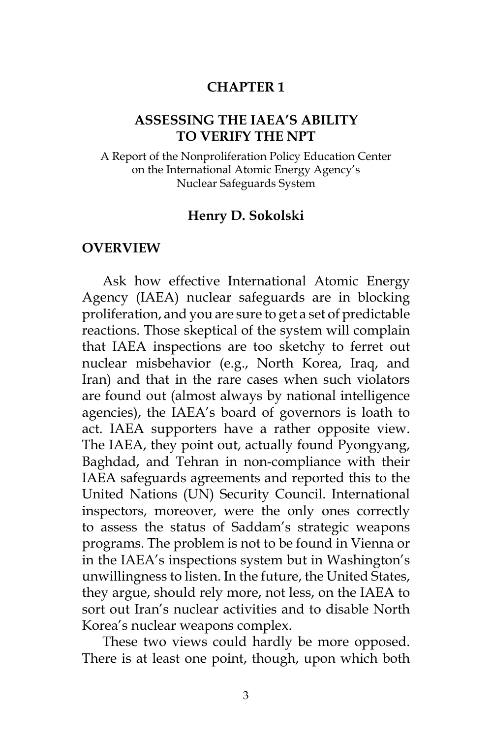#### **CHAPTER 1**

#### **ASSESSING THE IAEA'S ABILITY TO VERIFY THE NPT**

A Report of the Nonproliferation Policy Education Center on the International Atomic Energy Agency's Nuclear Safeguards System

#### **Henry D. Sokolski**

#### **OVERVIEW**

Ask how effective International Atomic Energy Agency (IAEA) nuclear safeguards are in blocking proliferation, and you are sure to get a set of predictable reactions. Those skeptical of the system will complain that IAEA inspections are too sketchy to ferret out nuclear misbehavior (e.g., North Korea, Iraq, and Iran) and that in the rare cases when such violators are found out (almost always by national intelligence agencies), the IAEA's board of governors is loath to act. IAEA supporters have a rather opposite view. The IAEA, they point out, actually found Pyongyang, Baghdad, and Tehran in non-compliance with their IAEA safeguards agreements and reported this to the United Nations (UN) Security Council. International inspectors, moreover, were the only ones correctly to assess the status of Saddam's strategic weapons programs. The problem is not to be found in Vienna or in the IAEA's inspections system but in Washington's unwillingness to listen. In the future, the United States, they argue, should rely more, not less, on the IAEA to sort out Iran's nuclear activities and to disable North Korea's nuclear weapons complex.

These two views could hardly be more opposed. There is at least one point, though, upon which both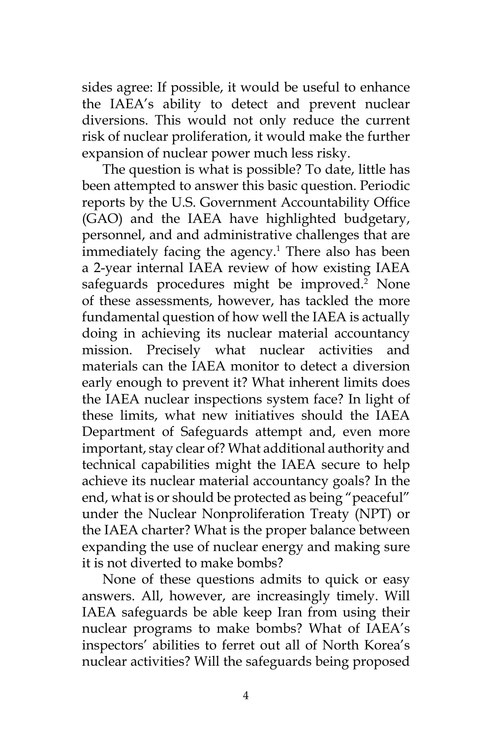sides agree: If possible, it would be useful to enhance the IAEA's ability to detect and prevent nuclear diversions. This would not only reduce the current risk of nuclear proliferation, it would make the further expansion of nuclear power much less risky.

The question is what is possible? To date, little has been attempted to answer this basic question. Periodic reports by the U.S. Government Accountability Office (GAO) and the IAEA have highlighted budgetary, personnel, and and administrative challenges that are immediately facing the agency.<sup>1</sup> There also has been a 2-year internal IAEA review of how existing IAEA safeguards procedures might be improved.<sup>2</sup> None of these assessments, however, has tackled the more fundamental question of how well the IAEA is actually doing in achieving its nuclear material accountancy mission. Precisely what nuclear activities and materials can the IAEA monitor to detect a diversion early enough to prevent it? What inherent limits does the IAEA nuclear inspections system face? In light of these limits, what new initiatives should the IAEA Department of Safeguards attempt and, even more important, stay clear of? What additional authority and technical capabilities might the IAEA secure to help achieve its nuclear material accountancy goals? In the end, what is or should be protected as being "peaceful" under the Nuclear Nonproliferation Treaty (NPT) or the IAEA charter? What is the proper balance between expanding the use of nuclear energy and making sure it is not diverted to make bombs?

None of these questions admits to quick or easy answers. All, however, are increasingly timely. Will IAEA safeguards be able keep Iran from using their nuclear programs to make bombs? What of IAEA's inspectors' abilities to ferret out all of North Korea's nuclear activities? Will the safeguards being proposed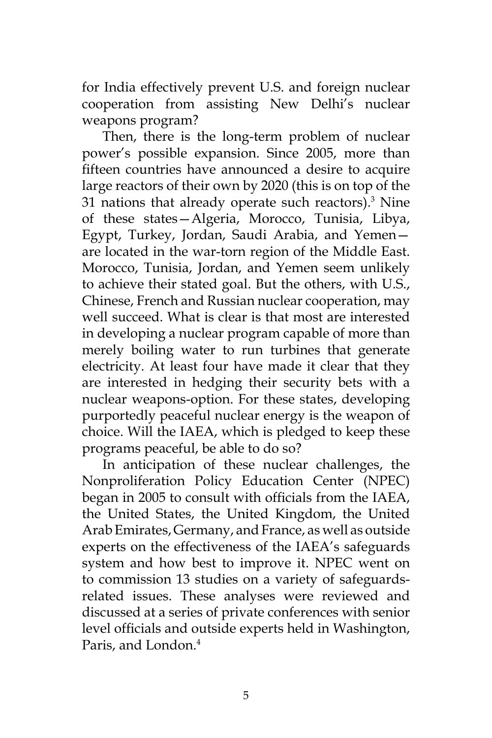for India effectively prevent U.S. and foreign nuclear cooperation from assisting New Delhi's nuclear weapons program?

Then, there is the long-term problem of nuclear power's possible expansion. Since 2005, more than fifteen countries have announced a desire to acquire large reactors of their own by 2020 (this is on top of the 31 nations that already operate such reactors). $3$  Nine of these states—Algeria, Morocco, Tunisia, Libya, Egypt, Turkey, Jordan, Saudi Arabia, and Yemen are located in the war-torn region of the Middle East. Morocco, Tunisia, Jordan, and Yemen seem unlikely to achieve their stated goal. But the others, with U.S., Chinese, French and Russian nuclear cooperation, may well succeed. What is clear is that most are interested in developing a nuclear program capable of more than merely boiling water to run turbines that generate electricity. At least four have made it clear that they are interested in hedging their security bets with a nuclear weapons-option. For these states, developing purportedly peaceful nuclear energy is the weapon of choice. Will the IAEA, which is pledged to keep these programs peaceful, be able to do so?

In anticipation of these nuclear challenges, the Nonproliferation Policy Education Center (NPEC) began in 2005 to consult with officials from the IAEA, the United States, the United Kingdom, the United Arab Emirates, Germany, and France, as well as outside experts on the effectiveness of the IAEA's safeguards system and how best to improve it. NPEC went on to commission 13 studies on a variety of safeguardsrelated issues. These analyses were reviewed and discussed at a series of private conferences with senior level officials and outside experts held in Washington, Paris, and London.<sup>4</sup>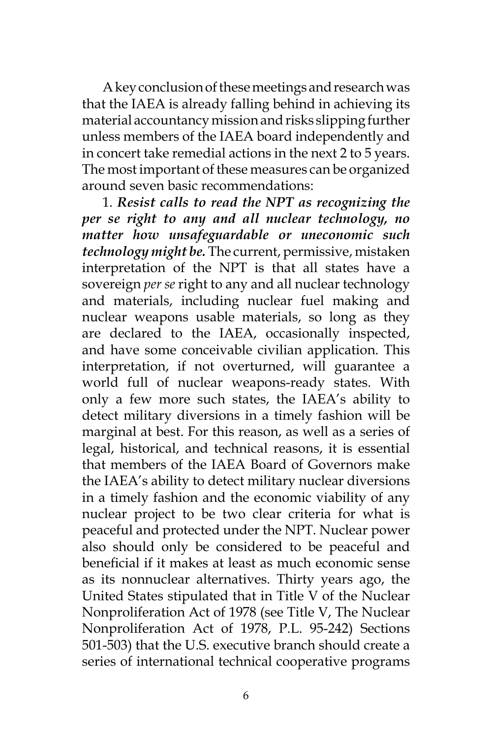A key conclusion of these meetings and research was that the IAEA is already falling behind in achieving its material accountancy mission and risks slipping further unless members of the IAEA board independently and in concert take remedial actions in the next 2 to 5 years. The most important of these measures can be organized around seven basic recommendations:

1. *Resist calls to read the NPT as recognizing the per se right to any and all nuclear technology, no matter how unsafeguardable or uneconomic such technology might be.* The current, permissive, mistaken interpretation of the NPT is that all states have a sovereign *per se* right to any and all nuclear technology and materials, including nuclear fuel making and nuclear weapons usable materials, so long as they are declared to the IAEA, occasionally inspected, and have some conceivable civilian application. This interpretation, if not overturned, will guarantee a world full of nuclear weapons-ready states. With only a few more such states, the IAEA's ability to detect military diversions in a timely fashion will be marginal at best. For this reason, as well as a series of legal, historical, and technical reasons, it is essential that members of the IAEA Board of Governors make the IAEA's ability to detect military nuclear diversions in a timely fashion and the economic viability of any nuclear project to be two clear criteria for what is peaceful and protected under the NPT. Nuclear power also should only be considered to be peaceful and beneficial if it makes at least as much economic sense as its nonnuclear alternatives. Thirty years ago, the United States stipulated that in Title V of the Nuclear Nonproliferation Act of 1978 (see Title V, The Nuclear Nonproliferation Act of 1978, P.L. 95-242) Sections 501-503) that the U.S. executive branch should create a series of international technical cooperative programs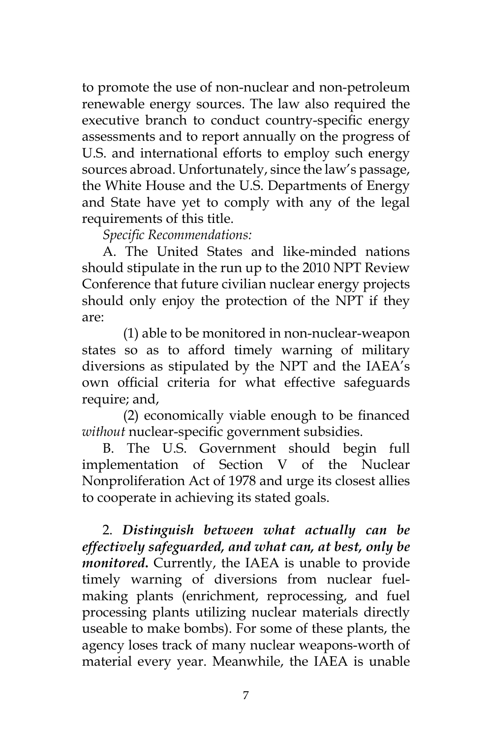to promote the use of non-nuclear and non-petroleum renewable energy sources. The law also required the executive branch to conduct country-specific energy assessments and to report annually on the progress of U.S. and international efforts to employ such energy sources abroad. Unfortunately, since the law's passage, the White House and the U.S. Departments of Energy and State have yet to comply with any of the legal requirements of this title.

*Specific Recommendations:* 

A. The United States and like-minded nations should stipulate in the run up to the 2010 NPT Review Conference that future civilian nuclear energy projects should only enjoy the protection of the NPT if they are:

 (1) able to be monitored in non-nuclear-weapon states so as to afford timely warning of military diversions as stipulated by the NPT and the IAEA's own official criteria for what effective safeguards require; and,

(2) economically viable enough to be financed *without* nuclear-specific government subsidies.

B. The U.S. Government should begin full implementation of Section V of the Nuclear Nonproliferation Act of 1978 and urge its closest allies to cooperate in achieving its stated goals.

2. *Distinguish between what actually can be effectively safeguarded, and what can, at best, only be monitored***.** Currently, the IAEA is unable to provide timely warning of diversions from nuclear fuelmaking plants (enrichment, reprocessing, and fuel processing plants utilizing nuclear materials directly useable to make bombs). For some of these plants, the agency loses track of many nuclear weapons-worth of material every year. Meanwhile, the IAEA is unable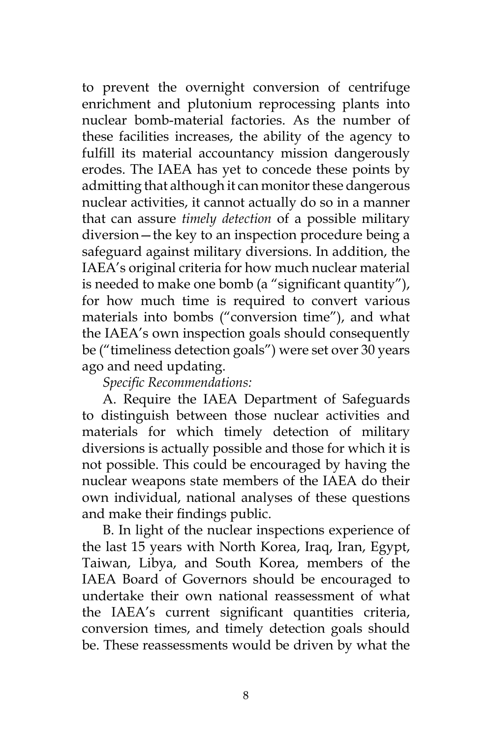to prevent the overnight conversion of centrifuge enrichment and plutonium reprocessing plants into nuclear bomb-material factories. As the number of these facilities increases, the ability of the agency to fulfill its material accountancy mission dangerously erodes. The IAEA has yet to concede these points by admitting that although it can monitor these dangerous nuclear activities, it cannot actually do so in a manner that can assure *timely detection* of a possible military diversion—the key to an inspection procedure being a safeguard against military diversions. In addition, the IAEA's original criteria for how much nuclear material is needed to make one bomb (a "significant quantity"), for how much time is required to convert various materials into bombs ("conversion time"), and what the IAEA's own inspection goals should consequently be ("timeliness detection goals") were set over 30 years ago and need updating.

#### *Specific Recommendations:*

A. Require the IAEA Department of Safeguards to distinguish between those nuclear activities and materials for which timely detection of military diversions is actually possible and those for which it is not possible. This could be encouraged by having the nuclear weapons state members of the IAEA do their own individual, national analyses of these questions and make their findings public.

B. In light of the nuclear inspections experience of the last 15 years with North Korea, Iraq, Iran, Egypt, Taiwan, Libya, and South Korea, members of the IAEA Board of Governors should be encouraged to undertake their own national reassessment of what the IAEA's current significant quantities criteria, conversion times, and timely detection goals should be. These reassessments would be driven by what the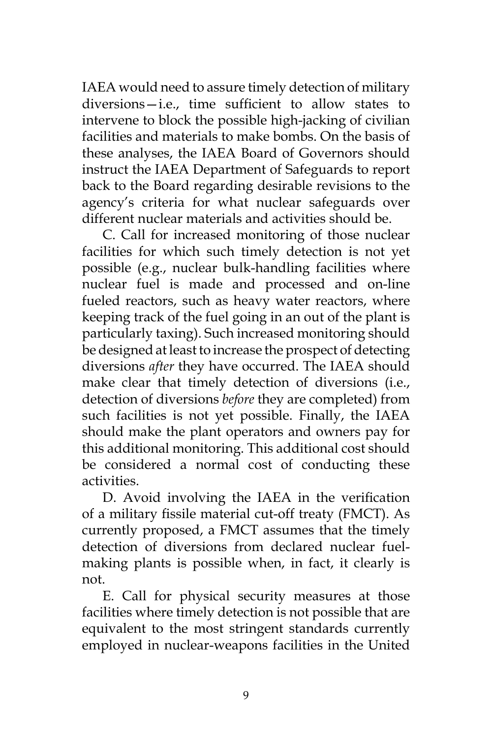IAEA would need to assure timely detection of military diversions—i.e., time sufficient to allow states to intervene to block the possible high-jacking of civilian facilities and materials to make bombs. On the basis of these analyses, the IAEA Board of Governors should instruct the IAEA Department of Safeguards to report back to the Board regarding desirable revisions to the agency's criteria for what nuclear safeguards over different nuclear materials and activities should be.

C. Call for increased monitoring of those nuclear facilities for which such timely detection is not yet possible (e.g., nuclear bulk-handling facilities where nuclear fuel is made and processed and on-line fueled reactors, such as heavy water reactors, where keeping track of the fuel going in an out of the plant is particularly taxing). Such increased monitoring should be designed at least to increase the prospect of detecting diversions *after* they have occurred. The IAEA should make clear that timely detection of diversions (i.e., detection of diversions *before* they are completed) from such facilities is not yet possible. Finally, the IAEA should make the plant operators and owners pay for this additional monitoring. This additional cost should be considered a normal cost of conducting these activities.

D. Avoid involving the IAEA in the verification of a military fissile material cut-off treaty (FMCT). As currently proposed, a FMCT assumes that the timely detection of diversions from declared nuclear fuelmaking plants is possible when, in fact, it clearly is not.

E. Call for physical security measures at those facilities where timely detection is not possible that are equivalent to the most stringent standards currently employed in nuclear-weapons facilities in the United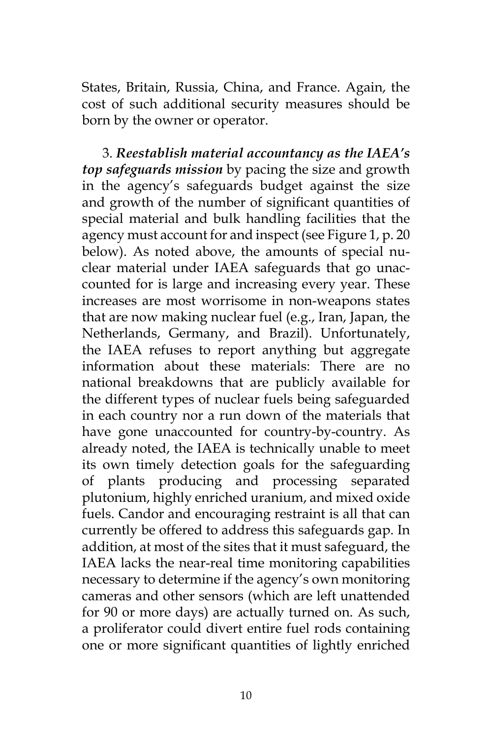States, Britain, Russia, China, and France. Again, the cost of such additional security measures should be born by the owner or operator.

3. *Reestablish material accountancy as the IAEA's top safeguards mission* by pacing the size and growth in the agency's safeguards budget against the size and growth of the number of significant quantities of special material and bulk handling facilities that the agency must account for and inspect (see Figure 1, p. 20 below). As noted above, the amounts of special nuclear material under IAEA safeguards that go unaccounted for is large and increasing every year. These increases are most worrisome in non-weapons states that are now making nuclear fuel (e.g., Iran, Japan, the Netherlands, Germany, and Brazil). Unfortunately, the IAEA refuses to report anything but aggregate information about these materials: There are no national breakdowns that are publicly available for the different types of nuclear fuels being safeguarded in each country nor a run down of the materials that have gone unaccounted for country-by-country. As already noted, the IAEA is technically unable to meet its own timely detection goals for the safeguarding of plants producing and processing separated plutonium, highly enriched uranium, and mixed oxide fuels. Candor and encouraging restraint is all that can currently be offered to address this safeguards gap. In addition, at most of the sites that it must safeguard, the IAEA lacks the near-real time monitoring capabilities necessary to determine if the agency's own monitoring cameras and other sensors (which are left unattended for 90 or more days) are actually turned on. As such, a proliferator could divert entire fuel rods containing one or more significant quantities of lightly enriched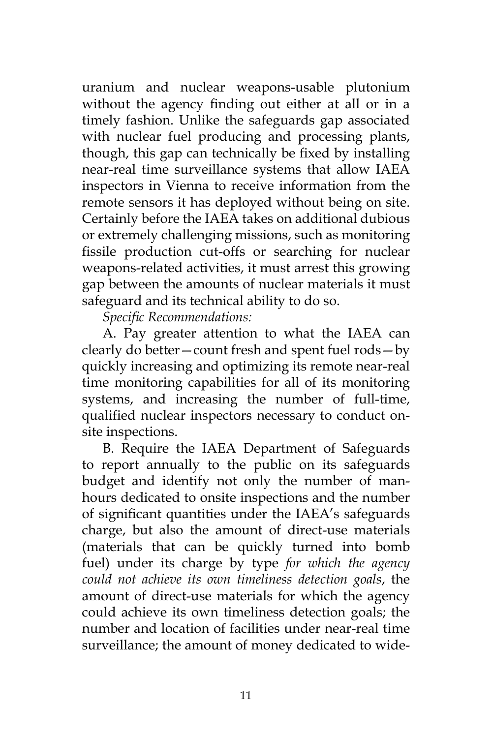uranium and nuclear weapons-usable plutonium without the agency finding out either at all or in a timely fashion. Unlike the safeguards gap associated with nuclear fuel producing and processing plants, though, this gap can technically be fixed by installing near-real time surveillance systems that allow IAEA inspectors in Vienna to receive information from the remote sensors it has deployed without being on site. Certainly before the IAEA takes on additional dubious or extremely challenging missions, such as monitoring fissile production cut-offs or searching for nuclear weapons-related activities, it must arrest this growing gap between the amounts of nuclear materials it must safeguard and its technical ability to do so.

*Specific Recommendations:*

A. Pay greater attention to what the IAEA can clearly do better—count fresh and spent fuel rods—by quickly increasing and optimizing its remote near-real time monitoring capabilities for all of its monitoring systems, and increasing the number of full-time, qualified nuclear inspectors necessary to conduct onsite inspections.

B. Require the IAEA Department of Safeguards to report annually to the public on its safeguards budget and identify not only the number of manhours dedicated to onsite inspections and the number of significant quantities under the IAEA's safeguards charge, but also the amount of direct-use materials (materials that can be quickly turned into bomb fuel) under its charge by type *for which the agency could not achieve its own timeliness detection goals*, the amount of direct-use materials for which the agency could achieve its own timeliness detection goals; the number and location of facilities under near-real time surveillance; the amount of money dedicated to wide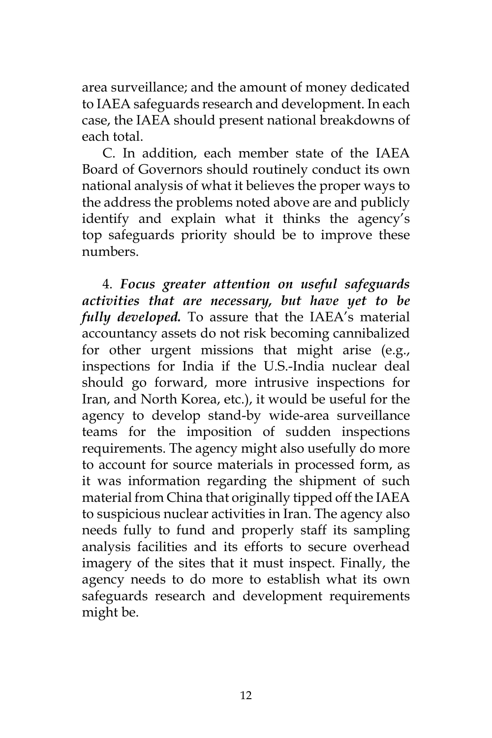area surveillance; and the amount of money dedicated to IAEA safeguards research and development. In each case, the IAEA should present national breakdowns of each total.

C. In addition, each member state of the IAEA Board of Governors should routinely conduct its own national analysis of what it believes the proper ways to the address the problems noted above are and publicly identify and explain what it thinks the agency's top safeguards priority should be to improve these numbers.

4. *Focus greater attention on useful safeguards activities that are necessary, but have yet to be fully developed.* To assure that the IAEA's material accountancy assets do not risk becoming cannibalized for other urgent missions that might arise (e.g., inspections for India if the U.S.-India nuclear deal should go forward, more intrusive inspections for Iran, and North Korea, etc.), it would be useful for the agency to develop stand-by wide-area surveillance teams for the imposition of sudden inspections requirements. The agency might also usefully do more to account for source materials in processed form, as it was information regarding the shipment of such material from China that originally tipped off the IAEA to suspicious nuclear activities in Iran. The agency also needs fully to fund and properly staff its sampling analysis facilities and its efforts to secure overhead imagery of the sites that it must inspect. Finally, the agency needs to do more to establish what its own safeguards research and development requirements might be.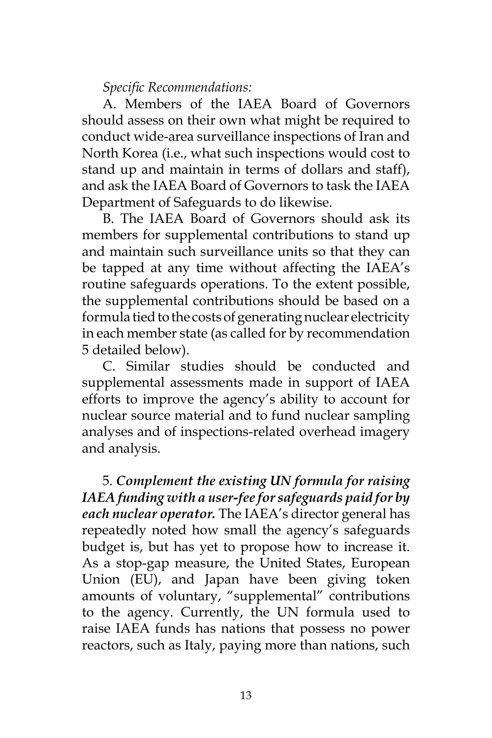*Specific Recommendations:*

A. Members of the IAEA Board of Governors should assess on their own what might be required to conduct wide-area surveillance inspections of Iran and North Korea (i.e., what such inspections would cost to stand up and maintain in terms of dollars and staff), and ask the IAEA Board of Governors to task the IAEA Department of Safeguards to do likewise.

B. The IAEA Board of Governors should ask its members for supplemental contributions to stand up and maintain such surveillance units so that they can be tapped at any time without affecting the IAEA's routine safeguards operations. To the extent possible, the supplemental contributions should be based on a formula tied to the costs of generating nuclear electricity in each member state (as called for by recommendation 5 detailed below).

C. Similar studies should be conducted and supplemental assessments made in support of IAEA efforts to improve the agency's ability to account for nuclear source material and to fund nuclear sampling analyses and of inspections-related overhead imagery and analysis.

5. *Complement the existing UN formula for raising IAEA funding with a user-fee for safeguards paid for by each nuclear operator.* The IAEA's director general has repeatedly noted how small the agency's safeguards budget is, but has yet to propose how to increase it. As a stop-gap measure, the United States, European Union (EU), and Japan have been giving token amounts of voluntary, "supplemental" contributions to the agency. Currently, the UN formula used to raise IAEA funds has nations that possess no power reactors, such as Italy, paying more than nations, such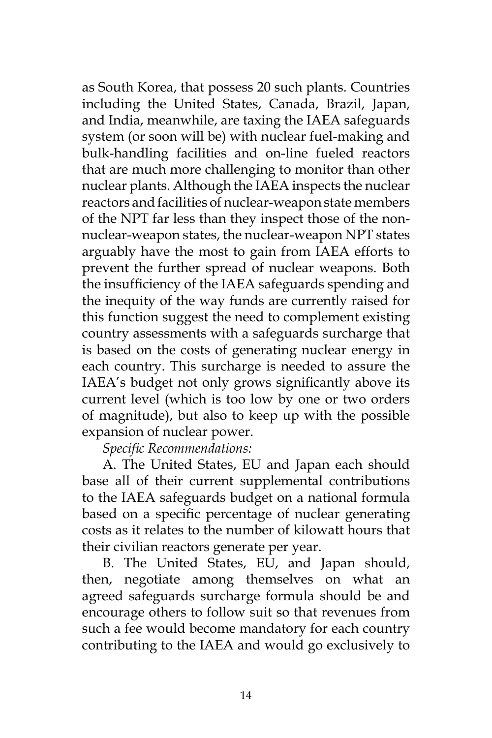as South Korea, that possess 20 such plants. Countries including the United States, Canada, Brazil, Japan, and India, meanwhile, are taxing the IAEA safeguards system (or soon will be) with nuclear fuel-making and bulk-handling facilities and on-line fueled reactors that are much more challenging to monitor than other nuclear plants. Although the IAEA inspects the nuclear reactors and facilities of nuclear-weapon state members of the NPT far less than they inspect those of the nonnuclear-weapon states, the nuclear-weapon NPT states arguably have the most to gain from IAEA efforts to prevent the further spread of nuclear weapons. Both the insufficiency of the IAEA safeguards spending and the inequity of the way funds are currently raised for this function suggest the need to complement existing country assessments with a safeguards surcharge that is based on the costs of generating nuclear energy in each country. This surcharge is needed to assure the IAEA's budget not only grows significantly above its current level (which is too low by one or two orders of magnitude), but also to keep up with the possible expansion of nuclear power.

*Specific Recommendations:*

A. The United States, EU and Japan each should base all of their current supplemental contributions to the IAEA safeguards budget on a national formula based on a specific percentage of nuclear generating costs as it relates to the number of kilowatt hours that their civilian reactors generate per year.

B. The United States, EU, and Japan should, then, negotiate among themselves on what an agreed safeguards surcharge formula should be and encourage others to follow suit so that revenues from such a fee would become mandatory for each country contributing to the IAEA and would go exclusively to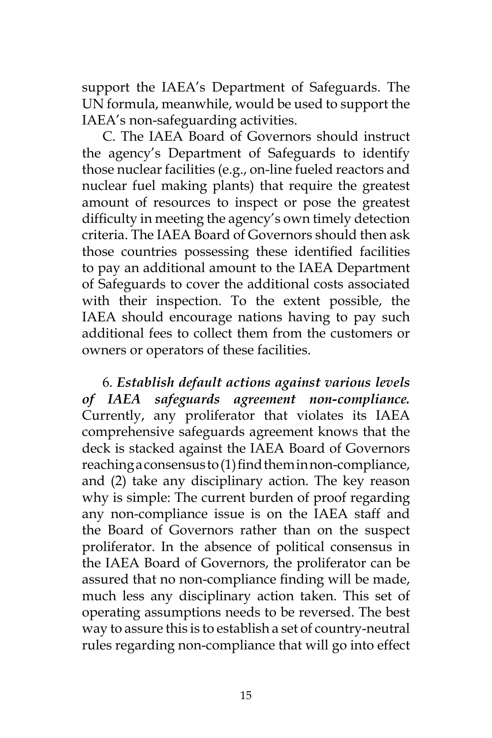support the IAEA's Department of Safeguards. The UN formula, meanwhile, would be used to support the IAEA's non-safeguarding activities.

C. The IAEA Board of Governors should instruct the agency's Department of Safeguards to identify those nuclear facilities (e.g., on-line fueled reactors and nuclear fuel making plants) that require the greatest amount of resources to inspect or pose the greatest difficulty in meeting the agency's own timely detection criteria. The IAEA Board of Governors should then ask those countries possessing these identified facilities to pay an additional amount to the IAEA Department of Safeguards to cover the additional costs associated with their inspection. To the extent possible, the IAEA should encourage nations having to pay such additional fees to collect them from the customers or owners or operators of these facilities.

6. *Establish default actions against various levels of IAEA safeguards agreement non-compliance.*  Currently, any proliferator that violates its IAEA comprehensive safeguards agreement knows that the deck is stacked against the IAEA Board of Governors reaching a consensus to (1) find them in non-compliance, and (2) take any disciplinary action. The key reason why is simple: The current burden of proof regarding any non-compliance issue is on the IAEA staff and the Board of Governors rather than on the suspect proliferator. In the absence of political consensus in the IAEA Board of Governors, the proliferator can be assured that no non-compliance finding will be made, much less any disciplinary action taken. This set of operating assumptions needs to be reversed. The best way to assure this is to establish a set of country-neutral rules regarding non-compliance that will go into effect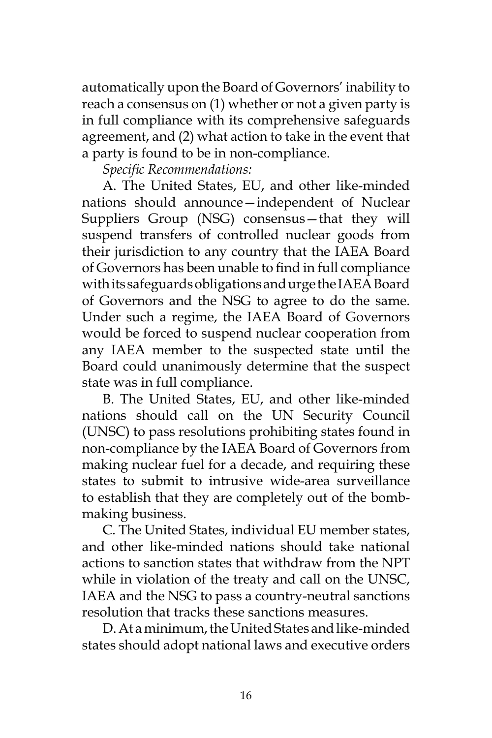automatically upon the Board of Governors' inability to reach a consensus on (1) whether or not a given party is in full compliance with its comprehensive safeguards agreement, and (2) what action to take in the event that a party is found to be in non-compliance.

*Specific Recommendations:*

A. The United States, EU, and other like-minded nations should announce—independent of Nuclear Suppliers Group (NSG) consensus—that they will suspend transfers of controlled nuclear goods from their jurisdiction to any country that the IAEA Board of Governors has been unable to find in full compliance with its safeguards obligations and urge the IAEA Board of Governors and the NSG to agree to do the same. Under such a regime, the IAEA Board of Governors would be forced to suspend nuclear cooperation from any IAEA member to the suspected state until the Board could unanimously determine that the suspect state was in full compliance.

B. The United States, EU, and other like-minded nations should call on the UN Security Council (UNSC) to pass resolutions prohibiting states found in non-compliance by the IAEA Board of Governors from making nuclear fuel for a decade, and requiring these states to submit to intrusive wide-area surveillance to establish that they are completely out of the bombmaking business.

C. The United States, individual EU member states, and other like-minded nations should take national actions to sanction states that withdraw from the NPT while in violation of the treaty and call on the UNSC, IAEA and the NSG to pass a country-neutral sanctions resolution that tracks these sanctions measures.

D. At a minimum, the United States and like-minded states should adopt national laws and executive orders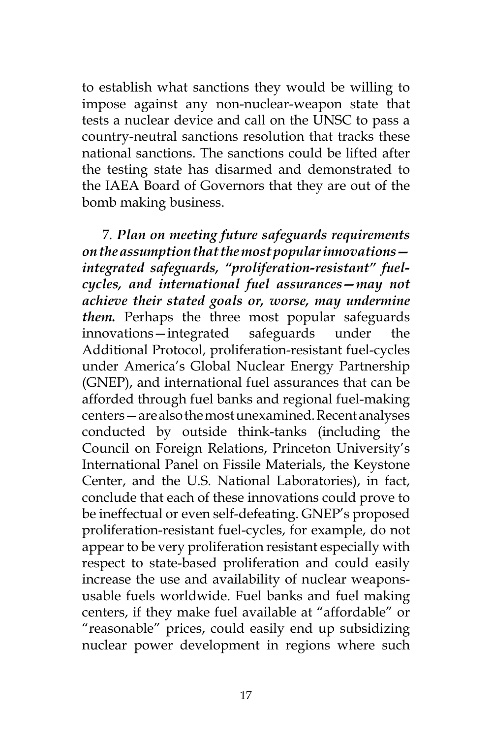to establish what sanctions they would be willing to impose against any non-nuclear-weapon state that tests a nuclear device and call on the UNSC to pass a country-neutral sanctions resolution that tracks these national sanctions. The sanctions could be lifted after the testing state has disarmed and demonstrated to the IAEA Board of Governors that they are out of the bomb making business.

7*. Plan on meeting future safeguards requirements on the assumption that the most popular innovations integrated safeguards, "proliferation-resistant" fuelcycles, and international fuel assurances—may not achieve their stated goals or, worse, may undermine them.* Perhaps the three most popular safeguards innovations—integrated safeguards under the Additional Protocol, proliferation-resistant fuel-cycles under America's Global Nuclear Energy Partnership (GNEP), and international fuel assurances that can be afforded through fuel banks and regional fuel-making centers—are also the most unexamined. Recent analyses conducted by outside think-tanks (including the Council on Foreign Relations, Princeton University's International Panel on Fissile Materials, the Keystone Center, and the U.S. National Laboratories), in fact, conclude that each of these innovations could prove to be ineffectual or even self-defeating. GNEP's proposed proliferation-resistant fuel-cycles, for example, do not appear to be very proliferation resistant especially with respect to state-based proliferation and could easily increase the use and availability of nuclear weaponsusable fuels worldwide. Fuel banks and fuel making centers, if they make fuel available at "affordable" or "reasonable" prices, could easily end up subsidizing nuclear power development in regions where such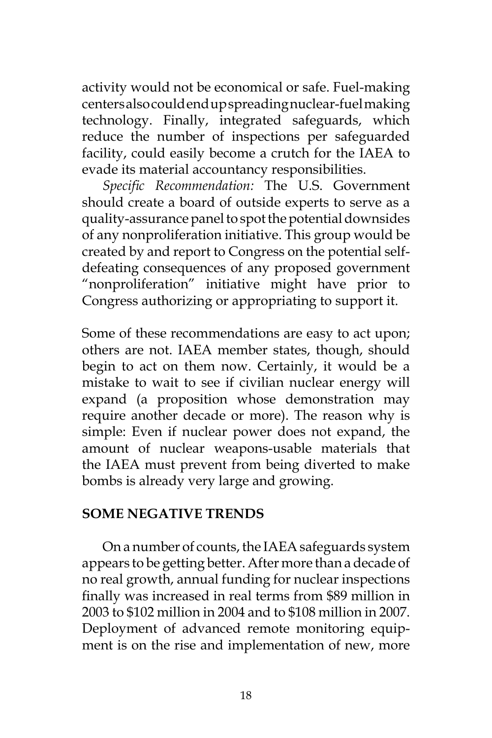activity would not be economical or safe. Fuel-making centers also could end up spreading nuclear-fuelmaking technology. Finally, integrated safeguards, which reduce the number of inspections per safeguarded facility, could easily become a crutch for the IAEA to evade its material accountancy responsibilities.

*Specific Recommendation:* The U.S. Government should create a board of outside experts to serve as a quality-assurance panel to spot the potential downsides of any nonproliferation initiative. This group would be created by and report to Congress on the potential selfdefeating consequences of any proposed government "nonproliferation" initiative might have prior to Congress authorizing or appropriating to support it.

Some of these recommendations are easy to act upon; others are not. IAEA member states, though, should begin to act on them now. Certainly, it would be a mistake to wait to see if civilian nuclear energy will expand (a proposition whose demonstration may require another decade or more). The reason why is simple: Even if nuclear power does not expand, the amount of nuclear weapons-usable materials that the IAEA must prevent from being diverted to make bombs is already very large and growing.

#### **SOME NEGATIVE TRENDS**

On a number of counts, the IAEA safeguards system appears to be getting better. After more than a decade of no real growth, annual funding for nuclear inspections finally was increased in real terms from \$89 million in 2003 to \$102 million in 2004 and to \$108 million in 2007. Deployment of advanced remote monitoring equipment is on the rise and implementation of new, more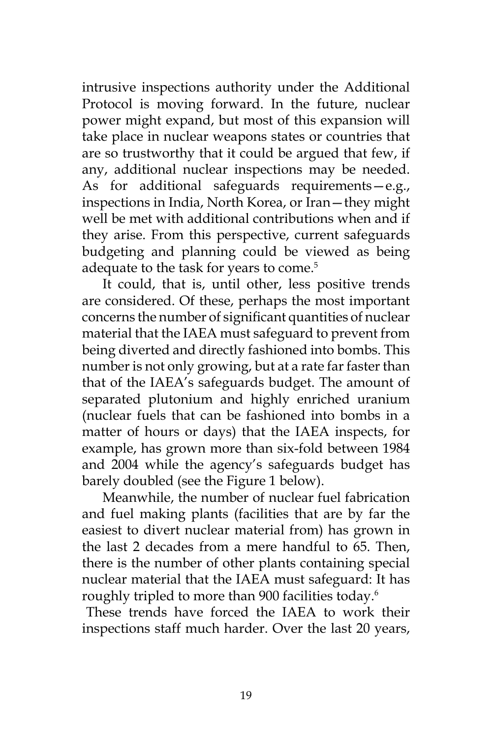intrusive inspections authority under the Additional Protocol is moving forward. In the future, nuclear power might expand, but most of this expansion will take place in nuclear weapons states or countries that are so trustworthy that it could be argued that few, if any, additional nuclear inspections may be needed. As for additional safeguards requirements—e.g., inspections in India, North Korea, or Iran—they might well be met with additional contributions when and if they arise. From this perspective, current safeguards budgeting and planning could be viewed as being adequate to the task for years to come.<sup>5</sup>

It could, that is, until other, less positive trends are considered. Of these, perhaps the most important concerns the number of significant quantities of nuclear material that the IAEA must safeguard to prevent from being diverted and directly fashioned into bombs. This number is not only growing, but at a rate far faster than that of the IAEA's safeguards budget. The amount of separated plutonium and highly enriched uranium (nuclear fuels that can be fashioned into bombs in a matter of hours or days) that the IAEA inspects, for example, has grown more than six-fold between 1984 and 2004 while the agency's safeguards budget has barely doubled (see the Figure 1 below).

Meanwhile, the number of nuclear fuel fabrication and fuel making plants (facilities that are by far the easiest to divert nuclear material from) has grown in the last 2 decades from a mere handful to 65. Then, there is the number of other plants containing special nuclear material that the IAEA must safeguard: It has roughly tripled to more than 900 facilities today.6

These trends have forced the IAEA to work their inspections staff much harder. Over the last 20 years,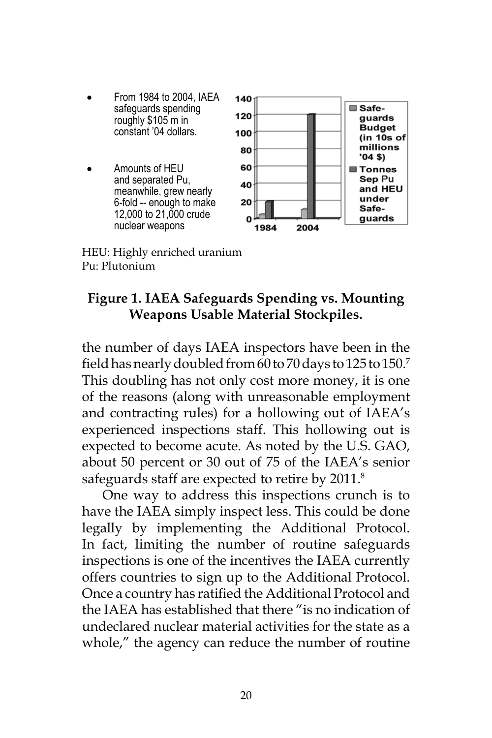- From 1984 to 2004, IAEA safeguards spending roughly \$105 m in constant '04 dollars.
- Amounts of HEU and separated Pu, meanwhile, grew nearly 6-fold -- enough to make 12,000 to 21,000 crude nuclear weapons



HEU: Highly enriched uranium Pu: Plutonium

# **Figure 1. IAEA Safeguards Spending vs. Mounting Weapons Usable Material Stockpiles.**

the number of days IAEA inspectors have been in the field has nearly doubled from 60 to 70 days to 125 to 150.<sup>7</sup> This doubling has not only cost more money, it is one of the reasons (along with unreasonable employment and contracting rules) for a hollowing out of IAEA's experienced inspections staff. This hollowing out is expected to become acute. As noted by the U.S. GAO, about 50 percent or 30 out of 75 of the IAEA's senior safeguards staff are expected to retire by 2011.<sup>8</sup>

One way to address this inspections crunch is to have the IAEA simply inspect less. This could be done legally by implementing the Additional Protocol. In fact, limiting the number of routine safeguards inspections is one of the incentives the IAEA currently offers countries to sign up to the Additional Protocol. Once a country has ratified the Additional Protocol and the IAEA has established that there "is no indication of undeclared nuclear material activities for the state as a whole," the agency can reduce the number of routine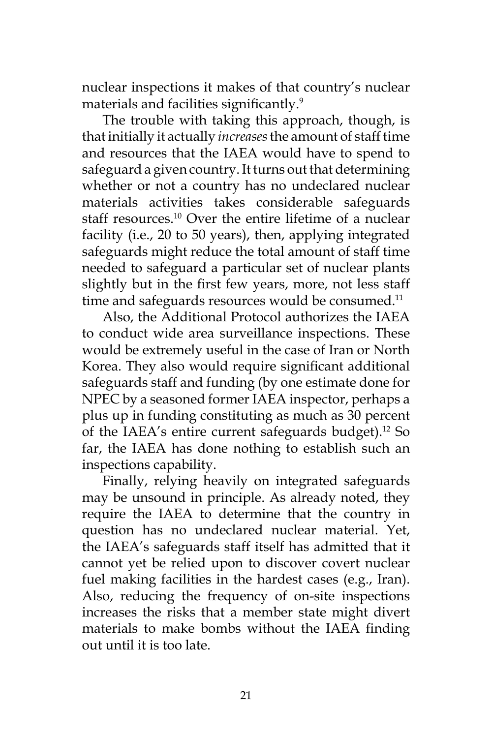nuclear inspections it makes of that country's nuclear materials and facilities significantly.<sup>9</sup>

The trouble with taking this approach, though, is that initially it actually *increases* the amount of staff time and resources that the IAEA would have to spend to safeguard a given country. It turns out that determining whether or not a country has no undeclared nuclear materials activities takes considerable safeguards staff resources.<sup>10</sup> Over the entire lifetime of a nuclear facility (i.e., 20 to 50 years), then, applying integrated safeguards might reduce the total amount of staff time needed to safeguard a particular set of nuclear plants slightly but in the first few years, more, not less staff time and safeguards resources would be consumed.<sup>11</sup>

Also, the Additional Protocol authorizes the IAEA to conduct wide area surveillance inspections. These would be extremely useful in the case of Iran or North Korea. They also would require significant additional safeguards staff and funding (by one estimate done for NPEC by a seasoned former IAEA inspector, perhaps a plus up in funding constituting as much as 30 percent of the IAEA's entire current safeguards budget).<sup>12</sup> So far, the IAEA has done nothing to establish such an inspections capability.

Finally, relying heavily on integrated safeguards may be unsound in principle. As already noted, they require the IAEA to determine that the country in question has no undeclared nuclear material. Yet, the IAEA's safeguards staff itself has admitted that it cannot yet be relied upon to discover covert nuclear fuel making facilities in the hardest cases (e.g., Iran). Also, reducing the frequency of on-site inspections increases the risks that a member state might divert materials to make bombs without the IAEA finding out until it is too late.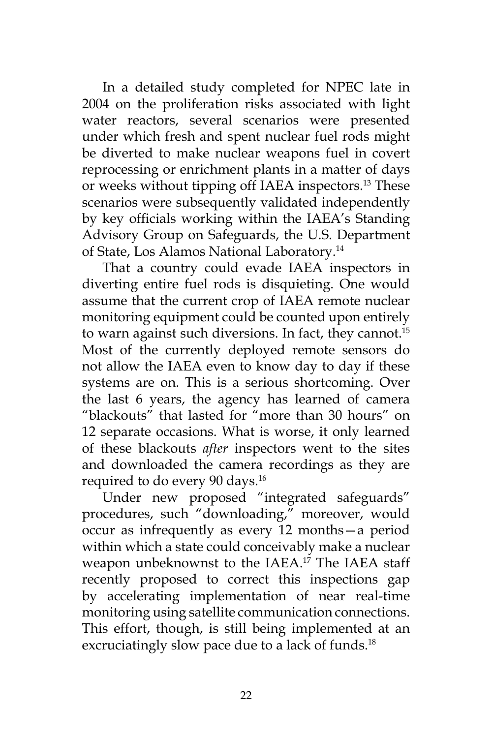In a detailed study completed for NPEC late in 2004 on the proliferation risks associated with light water reactors, several scenarios were presented under which fresh and spent nuclear fuel rods might be diverted to make nuclear weapons fuel in covert reprocessing or enrichment plants in a matter of days or weeks without tipping off IAEA inspectors.13 These scenarios were subsequently validated independently by key officials working within the IAEA's Standing Advisory Group on Safeguards, the U.S. Department of State, Los Alamos National Laboratory.14

That a country could evade IAEA inspectors in diverting entire fuel rods is disquieting. One would assume that the current crop of IAEA remote nuclear monitoring equipment could be counted upon entirely to warn against such diversions. In fact, they cannot.<sup>15</sup> Most of the currently deployed remote sensors do not allow the IAEA even to know day to day if these systems are on. This is a serious shortcoming. Over the last 6 years, the agency has learned of camera "blackouts" that lasted for "more than 30 hours" on 12 separate occasions. What is worse, it only learned of these blackouts *after* inspectors went to the sites and downloaded the camera recordings as they are required to do every 90 days.16

Under new proposed "integrated safeguards" procedures, such "downloading," moreover, would occur as infrequently as every 12 months—a period within which a state could conceivably make a nuclear weapon unbeknownst to the IAEA.<sup>17</sup> The IAEA staff recently proposed to correct this inspections gap by accelerating implementation of near real-time monitoring using satellite communication connections. This effort, though, is still being implemented at an excruciatingly slow pace due to a lack of funds.<sup>18</sup>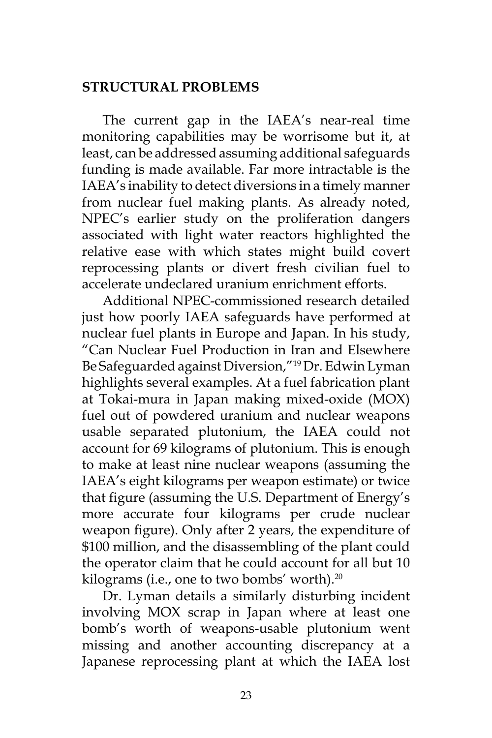# **STRUCTURAL PROBLEMS**

The current gap in the IAEA's near-real time monitoring capabilities may be worrisome but it, at least, can be addressed assuming additional safeguards funding is made available. Far more intractable is the IAEA's inability to detect diversions in a timely manner from nuclear fuel making plants. As already noted, NPEC's earlier study on the proliferation dangers associated with light water reactors highlighted the relative ease with which states might build covert reprocessing plants or divert fresh civilian fuel to accelerate undeclared uranium enrichment efforts.

Additional NPEC-commissioned research detailed just how poorly IAEA safeguards have performed at nuclear fuel plants in Europe and Japan. In his study, "Can Nuclear Fuel Production in Iran and Elsewhere Be Safeguarded against Diversion,"19 Dr. Edwin Lyman highlights several examples. At a fuel fabrication plant at Tokai-mura in Japan making mixed-oxide (MOX) fuel out of powdered uranium and nuclear weapons usable separated plutonium, the IAEA could not account for 69 kilograms of plutonium. This is enough to make at least nine nuclear weapons (assuming the IAEA's eight kilograms per weapon estimate) or twice that figure (assuming the U.S. Department of Energy's more accurate four kilograms per crude nuclear weapon figure). Only after 2 years, the expenditure of \$100 million, and the disassembling of the plant could the operator claim that he could account for all but 10 kilograms (i.e., one to two bombs' worth).<sup>20</sup>

Dr. Lyman details a similarly disturbing incident involving MOX scrap in Japan where at least one bomb's worth of weapons-usable plutonium went missing and another accounting discrepancy at a Japanese reprocessing plant at which the IAEA lost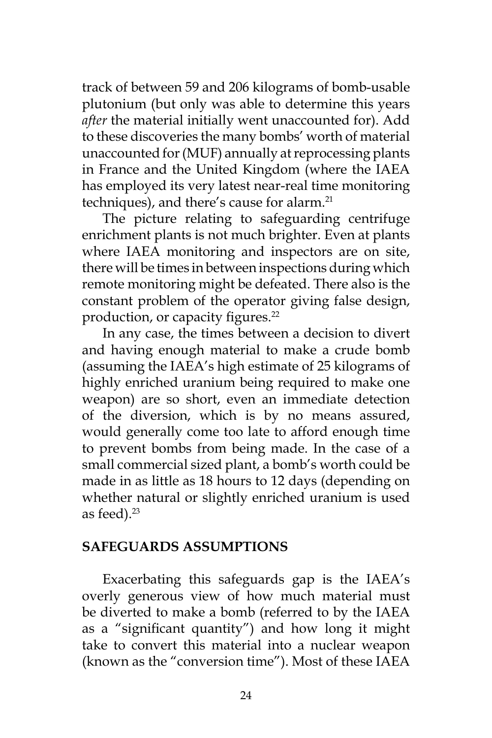track of between 59 and 206 kilograms of bomb-usable plutonium (but only was able to determine this years *after* the material initially went unaccounted for). Add to these discoveries the many bombs' worth of material unaccounted for (MUF) annually at reprocessing plants in France and the United Kingdom (where the IAEA has employed its very latest near-real time monitoring techniques), and there's cause for alarm.<sup>21</sup>

The picture relating to safeguarding centrifuge enrichment plants is not much brighter. Even at plants where IAEA monitoring and inspectors are on site, there will be times in between inspections during which remote monitoring might be defeated. There also is the constant problem of the operator giving false design, production, or capacity figures.<sup>22</sup>

In any case, the times between a decision to divert and having enough material to make a crude bomb (assuming the IAEA's high estimate of 25 kilograms of highly enriched uranium being required to make one weapon) are so short, even an immediate detection of the diversion, which is by no means assured, would generally come too late to afford enough time to prevent bombs from being made. In the case of a small commercial sized plant, a bomb's worth could be made in as little as 18 hours to 12 days (depending on whether natural or slightly enriched uranium is used as feed). $23$ 

### **SAFEGUARDS ASSUMPTIONS**

Exacerbating this safeguards gap is the IAEA's overly generous view of how much material must be diverted to make a bomb (referred to by the IAEA as a "significant quantity") and how long it might take to convert this material into a nuclear weapon (known as the "conversion time"). Most of these IAEA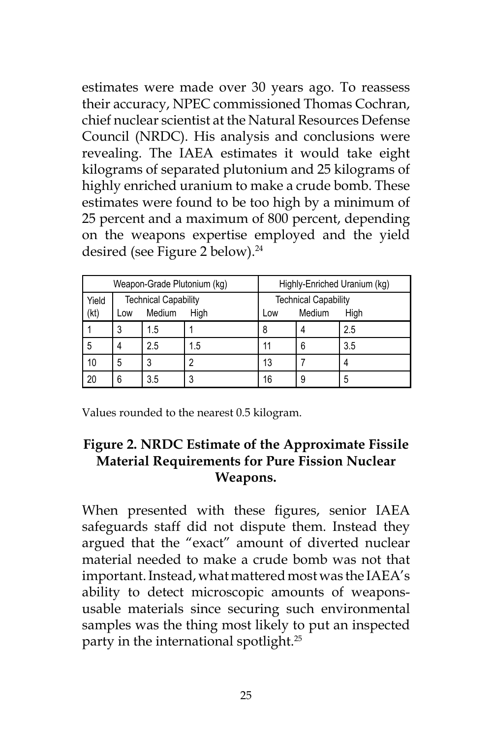estimates were made over 30 years ago. To reassess their accuracy, NPEC commissioned Thomas Cochran, chief nuclear scientist at the Natural Resources Defense Council (NRDC). His analysis and conclusions were revealing. The IAEA estimates it would take eight kilograms of separated plutonium and 25 kilograms of highly enriched uranium to make a crude bomb. These estimates were found to be too high by a minimum of 25 percent and a maximum of 800 percent, depending on the weapons expertise employed and the yield desired (see Figure 2 below).<sup>24</sup>

| Weapon-Grade Plutonium (kg) |                             |        |      | Highly-Enriched Uranium (kg) |        |      |
|-----------------------------|-----------------------------|--------|------|------------------------------|--------|------|
| Yield                       | <b>Technical Capability</b> |        |      | <b>Technical Capability</b>  |        |      |
| (kt)                        | Low                         | Medium | High | Low                          | Medium | High |
|                             | 3                           | 1.5    |      | 8                            |        | 2.5  |
| 5                           | 4                           | 2.5    | 1.5  |                              | 6      | 3.5  |
| 10                          | 5                           |        |      | 13                           |        |      |
| 20                          | 6                           | 3.5    |      | 16                           | 9      | 5    |

Values rounded to the nearest 0.5 kilogram.

# **Figure 2. NRDC Estimate of the Approximate Fissile Material Requirements for Pure Fission Nuclear Weapons.**

When presented with these figures, senior IAEA safeguards staff did not dispute them. Instead they argued that the "exact" amount of diverted nuclear material needed to make a crude bomb was not that important. Instead, what mattered most was the IAEA's ability to detect microscopic amounts of weaponsusable materials since securing such environmental samples was the thing most likely to put an inspected party in the international spotlight.25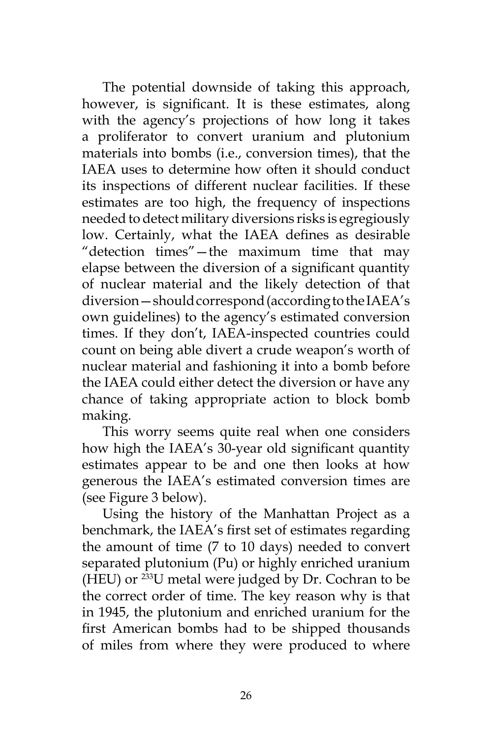The potential downside of taking this approach, however, is significant. It is these estimates, along with the agency's projections of how long it takes a proliferator to convert uranium and plutonium materials into bombs (i.e., conversion times), that the IAEA uses to determine how often it should conduct its inspections of different nuclear facilities. If these estimates are too high, the frequency of inspections needed to detect military diversions risks is egregiously low. Certainly, what the IAEA defines as desirable "detection times"—the maximum time that may elapse between the diversion of a significant quantity of nuclear material and the likely detection of that diversion—should correspond (according to the IAEA's own guidelines) to the agency's estimated conversion times. If they don't, IAEA-inspected countries could count on being able divert a crude weapon's worth of nuclear material and fashioning it into a bomb before the IAEA could either detect the diversion or have any chance of taking appropriate action to block bomb making.

This worry seems quite real when one considers how high the IAEA's 30-year old significant quantity estimates appear to be and one then looks at how generous the IAEA's estimated conversion times are (see Figure 3 below).

Using the history of the Manhattan Project as a benchmark, the IAEA's first set of estimates regarding the amount of time (7 to 10 days) needed to convert separated plutonium (Pu) or highly enriched uranium (HEU) or 233U metal were judged by Dr. Cochran to be the correct order of time. The key reason why is that in 1945, the plutonium and enriched uranium for the first American bombs had to be shipped thousands of miles from where they were produced to where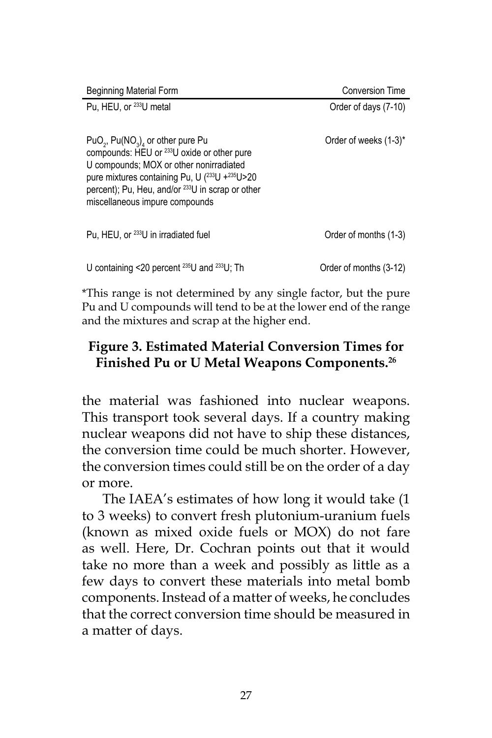| <b>Beginning Material Form</b>                                                                                                                                                                                                                                                                                            | <b>Conversion Time</b> |
|---------------------------------------------------------------------------------------------------------------------------------------------------------------------------------------------------------------------------------------------------------------------------------------------------------------------------|------------------------|
| Pu. HEU, or <sup>233</sup> U metal                                                                                                                                                                                                                                                                                        | Order of days (7-10)   |
| $PuO_2$ , $Pu(NO_3)$ <sub>4</sub> or other pure Pu<br>compounds: HEU or <sup>233</sup> U oxide or other pure<br>U compounds; MOX or other nonirradiated<br>pure mixtures containing Pu, U $(^{233}$ U + $^{235}$ U > 20<br>percent); Pu, Heu, and/or <sup>233</sup> U in scrap or other<br>miscellaneous impure compounds | Order of weeks (1-3)*  |
| Pu, HEU, or <sup>233</sup> U in irradiated fuel                                                                                                                                                                                                                                                                           | Order of months (1-3)  |
| U containing <20 percent $^{235}$ U and $^{233}$ U; Th                                                                                                                                                                                                                                                                    | Order of months (3-12) |

\*This range is not determined by any single factor, but the pure Pu and U compounds will tend to be at the lower end of the range and the mixtures and scrap at the higher end.

# **Figure 3. Estimated Material Conversion Times for Finished Pu or U Metal Weapons Components.26**

the material was fashioned into nuclear weapons. This transport took several days. If a country making nuclear weapons did not have to ship these distances, the conversion time could be much shorter. However, the conversion times could still be on the order of a day or more.

The IAEA's estimates of how long it would take (1 to 3 weeks) to convert fresh plutonium-uranium fuels (known as mixed oxide fuels or MOX) do not fare as well. Here, Dr. Cochran points out that it would take no more than a week and possibly as little as a few days to convert these materials into metal bomb components. Instead of a matter of weeks, he concludes that the correct conversion time should be measured in a matter of days.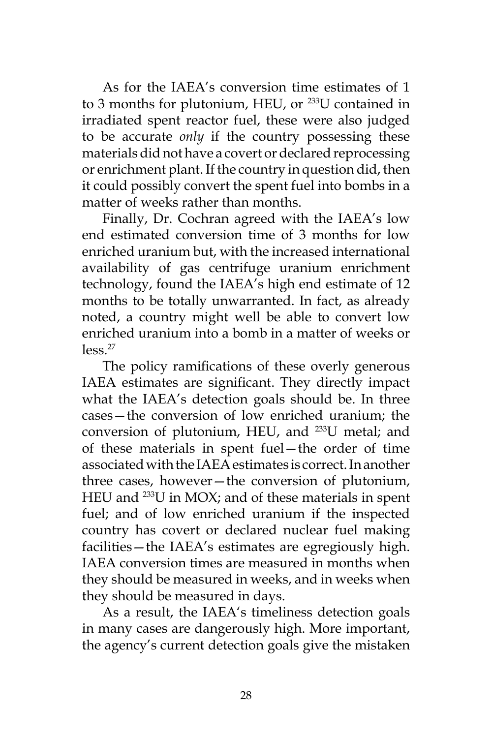As for the IAEA's conversion time estimates of 1 to 3 months for plutonium, HEU, or  $233$ U contained in irradiated spent reactor fuel, these were also judged to be accurate *only* if the country possessing these materials did not have a covert or declared reprocessing or enrichment plant. If the country in question did, then it could possibly convert the spent fuel into bombs in a matter of weeks rather than months.

Finally, Dr. Cochran agreed with the IAEA's low end estimated conversion time of 3 months for low enriched uranium but, with the increased international availability of gas centrifuge uranium enrichment technology, found the IAEA's high end estimate of 12 months to be totally unwarranted. In fact, as already noted, a country might well be able to convert low enriched uranium into a bomb in a matter of weeks or  $\log s$ <sup>27</sup>

The policy ramifications of these overly generous IAEA estimates are significant. They directly impact what the IAEA's detection goals should be. In three cases—the conversion of low enriched uranium; the conversion of plutonium, HEU, and 233U metal; and of these materials in spent fuel—the order of time associated with the IAEA estimates is correct. In another three cases, however—the conversion of plutonium, HEU and 233U in MOX; and of these materials in spent fuel; and of low enriched uranium if the inspected country has covert or declared nuclear fuel making facilities—the IAEA's estimates are egregiously high. IAEA conversion times are measured in months when they should be measured in weeks, and in weeks when they should be measured in days.

As a result, the IAEA's timeliness detection goals in many cases are dangerously high. More important, the agency's current detection goals give the mistaken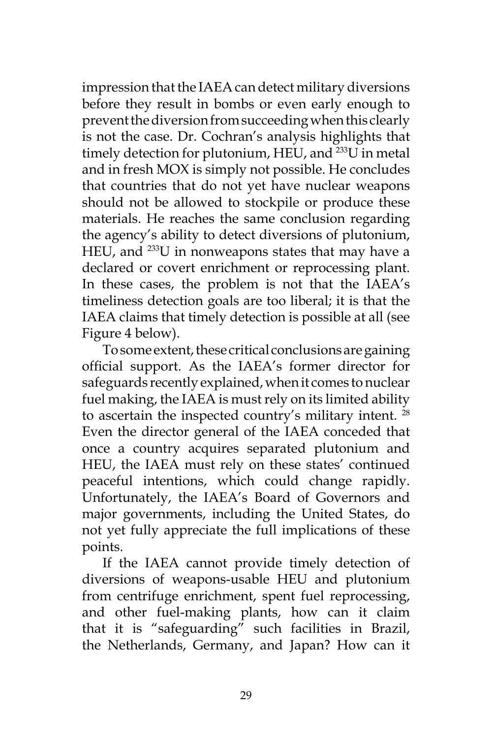impression that the IAEA can detect military diversions before they result in bombs or even early enough to prevent the diversion from succeeding when this clearly is not the case. Dr. Cochran's analysis highlights that timely detection for plutonium, HEU, and <sup>233</sup>U in metal and in fresh MOX is simply not possible. He concludes that countries that do not yet have nuclear weapons should not be allowed to stockpile or produce these materials. He reaches the same conclusion regarding the agency's ability to detect diversions of plutonium, HEU, and <sup>233</sup>U in nonweapons states that may have a declared or covert enrichment or reprocessing plant. In these cases, the problem is not that the IAEA's timeliness detection goals are too liberal; it is that the IAEA claims that timely detection is possible at all (see Figure 4 below).

To some extent, these critical conclusions are gaining official support. As the IAEA's former director for safeguards recently explained, when it comes to nuclear fuel making, the IAEA is must rely on its limited ability to ascertain the inspected country's military intent. <sup>28</sup> Even the director general of the IAEA conceded that once a country acquires separated plutonium and HEU, the IAEA must rely on these states' continued peaceful intentions, which could change rapidly. Unfortunately, the IAEA's Board of Governors and major governments, including the United States, do not yet fully appreciate the full implications of these points.

If the IAEA cannot provide timely detection of diversions of weapons-usable HEU and plutonium from centrifuge enrichment, spent fuel reprocessing, and other fuel-making plants, how can it claim that it is "safeguarding" such facilities in Brazil, the Netherlands, Germany, and Japan? How can it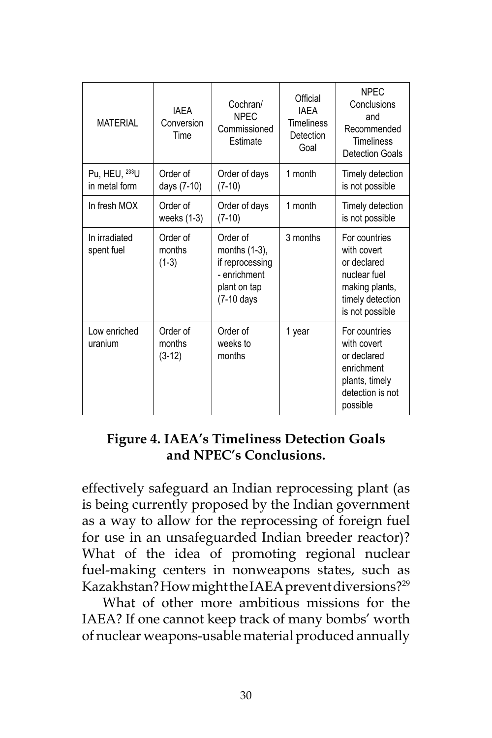| MATFRIAI                       | <b>IAFA</b><br>Conversion<br>Time | Cochran/<br><b>NPEC</b><br>Commissioned<br>Estimate                                        | Official<br><b>IAFA</b><br><b>Timeliness</b><br>Detection<br>Goal | <b>NPFC</b><br>Conclusions<br>and<br>Recommended<br><b>Timeliness</b><br>Detection Goals                             |
|--------------------------------|-----------------------------------|--------------------------------------------------------------------------------------------|-------------------------------------------------------------------|----------------------------------------------------------------------------------------------------------------------|
| Pu, HEU, 233U<br>in metal form | Order of<br>days (7-10)           | Order of days<br>$(7-10)$                                                                  | 1 month                                                           | Timely detection<br>is not possible                                                                                  |
| In fresh MOX                   | Order of<br>weeks $(1-3)$         | Order of days<br>$(7-10)$                                                                  | 1 month                                                           | Timely detection<br>is not possible                                                                                  |
| In irradiated<br>spent fuel    | Order of<br>months<br>$(1-3)$     | Order of<br>months (1-3),<br>if reprocessing<br>- enrichment<br>plant on tap<br>(7-10 days | 3 months                                                          | For countries<br>with covert<br>or declared<br>nuclear fuel<br>making plants,<br>timely detection<br>is not possible |
| Low enriched<br>uranium        | Order of<br>months<br>$(3-12)$    | Order of<br>weeks to<br>months                                                             | 1 year                                                            | For countries<br>with covert<br>or declared<br>enrichment<br>plants, timely<br>detection is not<br>possible          |

# **Figure 4. IAEA's Timeliness Detection Goals and NPEC's Conclusions.**

effectively safeguard an Indian reprocessing plant (as is being currently proposed by the Indian government as a way to allow for the reprocessing of foreign fuel for use in an unsafeguarded Indian breeder reactor)? What of the idea of promoting regional nuclear fuel-making centers in nonweapons states, such as Kazakhstan? How might the IAEA prevent diversions?<sup>29</sup>

What of other more ambitious missions for the IAEA? If one cannot keep track of many bombs' worth of nuclear weapons-usable material produced annually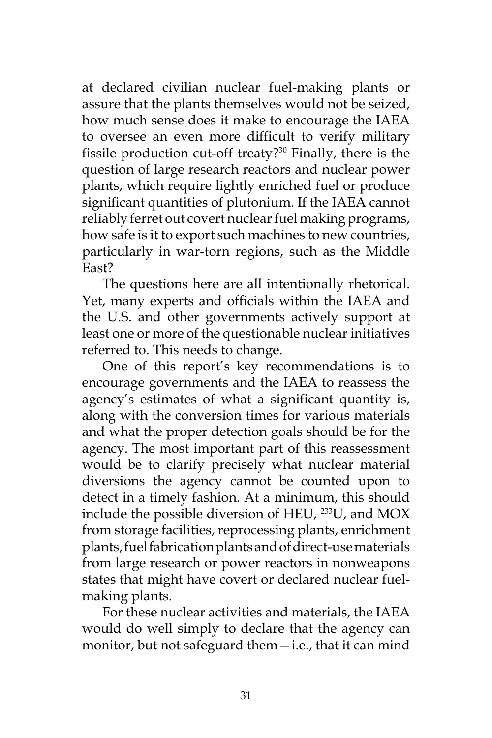at declared civilian nuclear fuel-making plants or assure that the plants themselves would not be seized, how much sense does it make to encourage the IAEA to oversee an even more difficult to verify military fissile production cut-off treaty?30 Finally, there is the question of large research reactors and nuclear power plants, which require lightly enriched fuel or produce significant quantities of plutonium. If the IAEA cannot reliably ferret out covert nuclear fuel making programs, how safe is it to export such machines to new countries, particularly in war-torn regions, such as the Middle East?

The questions here are all intentionally rhetorical. Yet, many experts and officials within the IAEA and the U.S. and other governments actively support at least one or more of the questionable nuclear initiatives referred to. This needs to change.

One of this report's key recommendations is to encourage governments and the IAEA to reassess the agency's estimates of what a significant quantity is, along with the conversion times for various materials and what the proper detection goals should be for the agency. The most important part of this reassessment would be to clarify precisely what nuclear material diversions the agency cannot be counted upon to detect in a timely fashion. At a minimum, this should include the possible diversion of HEU, 233U, and MOX from storage facilities, reprocessing plants, enrichment plants, fuel fabrication plants and of direct-use materials from large research or power reactors in nonweapons states that might have covert or declared nuclear fuelmaking plants.

For these nuclear activities and materials, the IAEA would do well simply to declare that the agency can monitor, but not safeguard them—i.e., that it can mind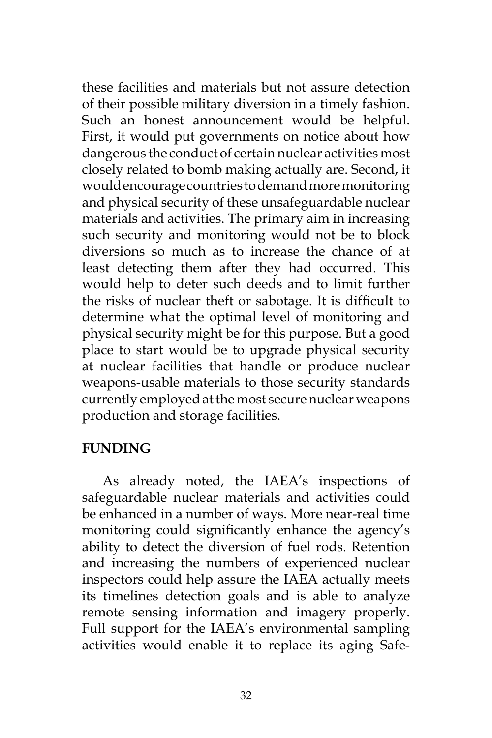these facilities and materials but not assure detection of their possible military diversion in a timely fashion. Such an honest announcement would be helpful. First, it would put governments on notice about how dangerous the conduct of certain nuclear activities most closely related to bomb making actually are. Second, it would encourage countries to demand more monitoring and physical security of these unsafeguardable nuclear materials and activities. The primary aim in increasing such security and monitoring would not be to block diversions so much as to increase the chance of at least detecting them after they had occurred. This would help to deter such deeds and to limit further the risks of nuclear theft or sabotage. It is difficult to determine what the optimal level of monitoring and physical security might be for this purpose. But a good place to start would be to upgrade physical security at nuclear facilities that handle or produce nuclear weapons-usable materials to those security standards currently employed at the most secure nuclear weapons production and storage facilities.

### **FUNDING**

As already noted, the IAEA's inspections of safeguardable nuclear materials and activities could be enhanced in a number of ways. More near-real time monitoring could significantly enhance the agency's ability to detect the diversion of fuel rods. Retention and increasing the numbers of experienced nuclear inspectors could help assure the IAEA actually meets its timelines detection goals and is able to analyze remote sensing information and imagery properly. Full support for the IAEA's environmental sampling activities would enable it to replace its aging Safe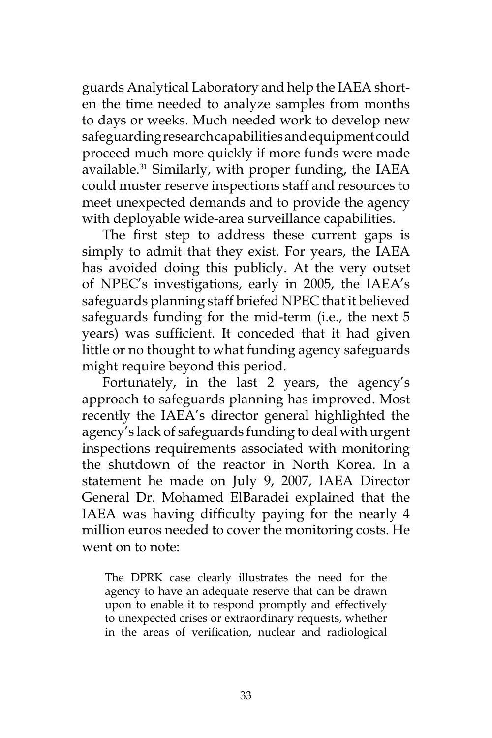guards Analytical Laboratory and help the IAEA shorten the time needed to analyze samples from months to days or weeks. Much needed work to develop new safeguarding research capabilities and equipment could proceed much more quickly if more funds were made available.<sup>31</sup> Similarly, with proper funding, the IAEA could muster reserve inspections staff and resources to meet unexpected demands and to provide the agency with deployable wide-area surveillance capabilities.

The first step to address these current gaps is simply to admit that they exist. For years, the IAEA has avoided doing this publicly. At the very outset of NPEC's investigations, early in 2005, the IAEA's safeguards planning staff briefed NPEC that it believed safeguards funding for the mid-term (i.e., the next 5 years) was sufficient. It conceded that it had given little or no thought to what funding agency safeguards might require beyond this period.

Fortunately, in the last 2 years, the agency's approach to safeguards planning has improved. Most recently the IAEA's director general highlighted the agency's lack of safeguards funding to deal with urgent inspections requirements associated with monitoring the shutdown of the reactor in North Korea. In a statement he made on July 9, 2007, IAEA Director General Dr. Mohamed ElBaradei explained that the IAEA was having difficulty paying for the nearly 4 million euros needed to cover the monitoring costs. He went on to note:

The DPRK case clearly illustrates the need for the agency to have an adequate reserve that can be drawn upon to enable it to respond promptly and effectively to unexpected crises or extraordinary requests, whether in the areas of verification, nuclear and radiological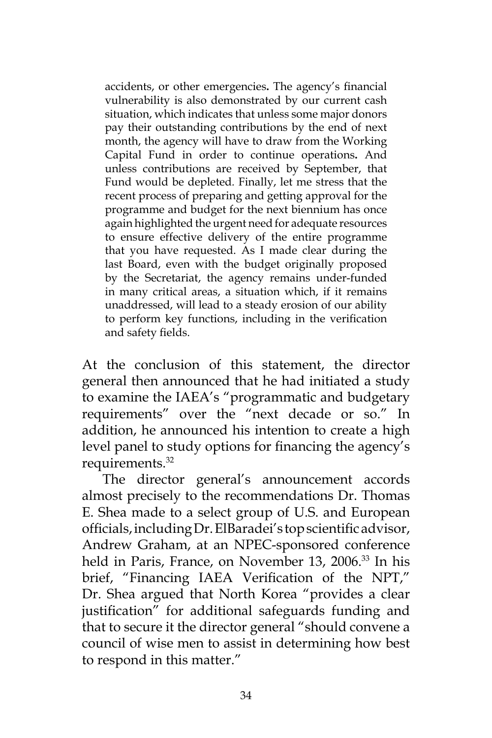accidents, or other emergencies**.** The agency's financial vulnerability is also demonstrated by our current cash situation, which indicates that unless some major donors pay their outstanding contributions by the end of next month, the agency will have to draw from the Working Capital Fund in order to continue operations**.** And unless contributions are received by September, that Fund would be depleted*.* Finally, let me stress that the recent process of preparing and getting approval for the programme and budget for the next biennium has once again highlighted the urgent need for adequate resources to ensure effective delivery of the entire programme that you have requested. As I made clear during the last Board, even with the budget originally proposed by the Secretariat, the agency remains under-funded in many critical areas, a situation which, if it remains unaddressed, will lead to a steady erosion of our ability to perform key functions, including in the verification and safety fields.

At the conclusion of this statement, the director general then announced that he had initiated a study to examine the IAEA's "programmatic and budgetary requirements" over the "next decade or so." In addition, he announced his intention to create a high level panel to study options for financing the agency's requirements.<sup>32</sup>

The director general's announcement accords almost precisely to the recommendations Dr. Thomas E. Shea made to a select group of U.S. and European officials, including Dr. ElBaradei's top scientific advisor, Andrew Graham, at an NPEC-sponsored conference held in Paris, France, on November 13, 2006.<sup>33</sup> In his brief, "Financing IAEA Verification of the NPT," Dr. Shea argued that North Korea "provides a clear justification" for additional safeguards funding and that to secure it the director general "should convene a council of wise men to assist in determining how best to respond in this matter."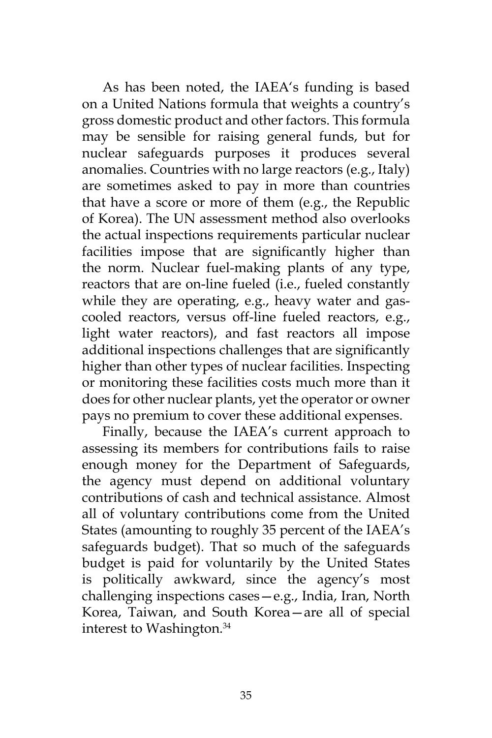As has been noted, the IAEA's funding is based on a United Nations formula that weights a country's gross domestic product and other factors. This formula may be sensible for raising general funds, but for nuclear safeguards purposes it produces several anomalies. Countries with no large reactors (e.g., Italy) are sometimes asked to pay in more than countries that have a score or more of them (e.g., the Republic of Korea). The UN assessment method also overlooks the actual inspections requirements particular nuclear facilities impose that are significantly higher than the norm. Nuclear fuel-making plants of any type, reactors that are on-line fueled (i.e., fueled constantly while they are operating, e.g., heavy water and gascooled reactors, versus off-line fueled reactors, e.g., light water reactors), and fast reactors all impose additional inspections challenges that are significantly higher than other types of nuclear facilities. Inspecting or monitoring these facilities costs much more than it does for other nuclear plants, yet the operator or owner pays no premium to cover these additional expenses.

Finally, because the IAEA's current approach to assessing its members for contributions fails to raise enough money for the Department of Safeguards, the agency must depend on additional voluntary contributions of cash and technical assistance. Almost all of voluntary contributions come from the United States (amounting to roughly 35 percent of the IAEA's safeguards budget). That so much of the safeguards budget is paid for voluntarily by the United States is politically awkward, since the agency's most challenging inspections cases—e.g., India, Iran, North Korea, Taiwan, and South Korea—are all of special interest to Washington.34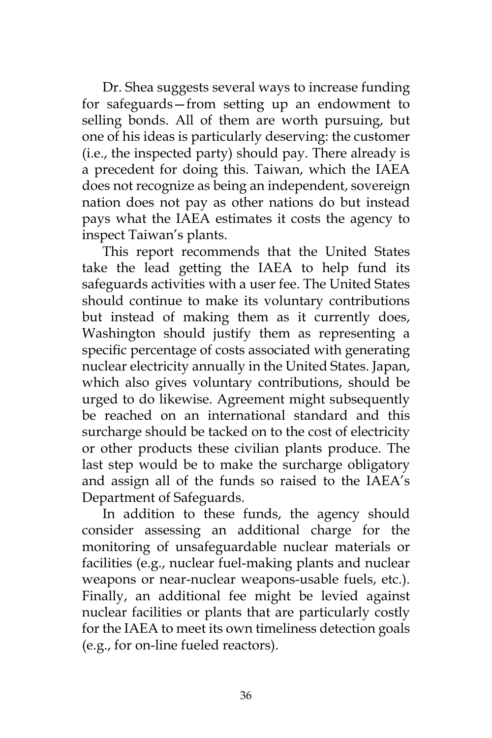Dr. Shea suggests several ways to increase funding for safeguards—from setting up an endowment to selling bonds. All of them are worth pursuing, but one of his ideas is particularly deserving: the customer (i.e., the inspected party) should pay. There already is a precedent for doing this. Taiwan, which the IAEA does not recognize as being an independent, sovereign nation does not pay as other nations do but instead pays what the IAEA estimates it costs the agency to inspect Taiwan's plants.

This report recommends that the United States take the lead getting the IAEA to help fund its safeguards activities with a user fee. The United States should continue to make its voluntary contributions but instead of making them as it currently does, Washington should justify them as representing a specific percentage of costs associated with generating nuclear electricity annually in the United States. Japan, which also gives voluntary contributions, should be urged to do likewise. Agreement might subsequently be reached on an international standard and this surcharge should be tacked on to the cost of electricity or other products these civilian plants produce. The last step would be to make the surcharge obligatory and assign all of the funds so raised to the IAEA's Department of Safeguards.

In addition to these funds, the agency should consider assessing an additional charge for the monitoring of unsafeguardable nuclear materials or facilities (e.g., nuclear fuel-making plants and nuclear weapons or near-nuclear weapons-usable fuels, etc.). Finally, an additional fee might be levied against nuclear facilities or plants that are particularly costly for the IAEA to meet its own timeliness detection goals (e.g., for on-line fueled reactors).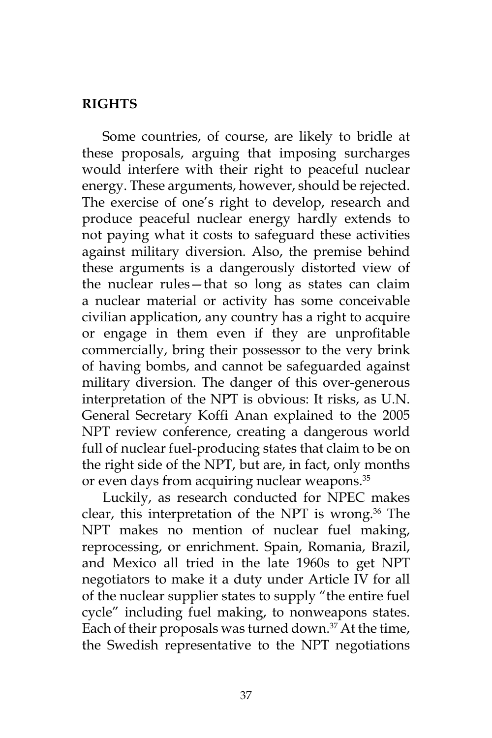### **RIGHTS**

Some countries, of course, are likely to bridle at these proposals, arguing that imposing surcharges would interfere with their right to peaceful nuclear energy. These arguments, however, should be rejected. The exercise of one's right to develop, research and produce peaceful nuclear energy hardly extends to not paying what it costs to safeguard these activities against military diversion. Also, the premise behind these arguments is a dangerously distorted view of the nuclear rules—that so long as states can claim a nuclear material or activity has some conceivable civilian application, any country has a right to acquire or engage in them even if they are unprofitable commercially, bring their possessor to the very brink of having bombs, and cannot be safeguarded against military diversion. The danger of this over-generous interpretation of the NPT is obvious: It risks, as U.N. General Secretary Koffi Anan explained to the 2005 NPT review conference, creating a dangerous world full of nuclear fuel-producing states that claim to be on the right side of the NPT, but are, in fact, only months or even days from acquiring nuclear weapons.<sup>35</sup>

Luckily, as research conducted for NPEC makes clear, this interpretation of the NPT is wrong. $36$  The NPT makes no mention of nuclear fuel making, reprocessing, or enrichment. Spain, Romania, Brazil, and Mexico all tried in the late 1960s to get NPT negotiators to make it a duty under Article IV for all of the nuclear supplier states to supply "the entire fuel cycle" including fuel making, to nonweapons states. Each of their proposals was turned down. $37$  At the time, the Swedish representative to the NPT negotiations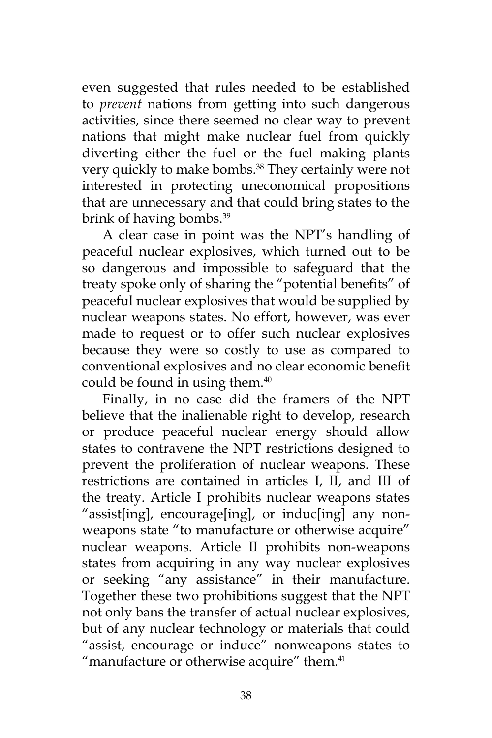even suggested that rules needed to be established to *prevent* nations from getting into such dangerous activities, since there seemed no clear way to prevent nations that might make nuclear fuel from quickly diverting either the fuel or the fuel making plants very quickly to make bombs.<sup>38</sup> They certainly were not interested in protecting uneconomical propositions that are unnecessary and that could bring states to the brink of having bombs.<sup>39</sup>

A clear case in point was the NPT's handling of peaceful nuclear explosives, which turned out to be so dangerous and impossible to safeguard that the treaty spoke only of sharing the "potential benefits" of peaceful nuclear explosives that would be supplied by nuclear weapons states. No effort, however, was ever made to request or to offer such nuclear explosives because they were so costly to use as compared to conventional explosives and no clear economic benefit could be found in using them.<sup>40</sup>

Finally, in no case did the framers of the NPT believe that the inalienable right to develop, research or produce peaceful nuclear energy should allow states to contravene the NPT restrictions designed to prevent the proliferation of nuclear weapons. These restrictions are contained in articles I, II, and III of the treaty. Article I prohibits nuclear weapons states "assist[ing], encourage[ing], or induc[ing] any nonweapons state "to manufacture or otherwise acquire" nuclear weapons. Article II prohibits non-weapons states from acquiring in any way nuclear explosives or seeking "any assistance" in their manufacture. Together these two prohibitions suggest that the NPT not only bans the transfer of actual nuclear explosives, but of any nuclear technology or materials that could "assist, encourage or induce" nonweapons states to "manufacture or otherwise acquire" them.<sup>41</sup>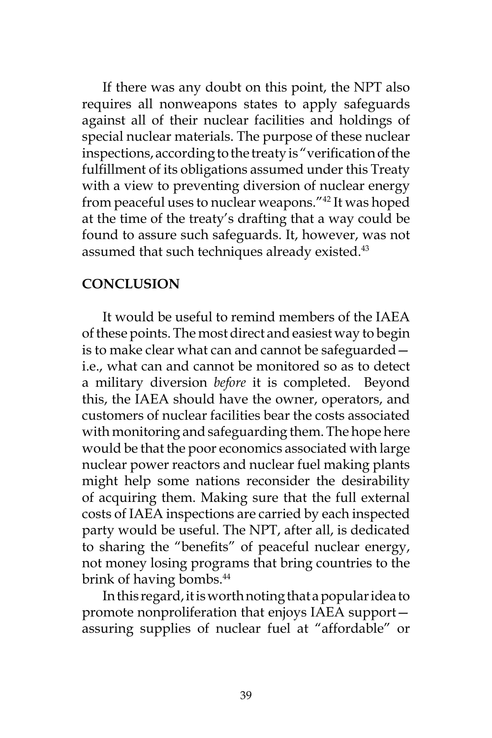If there was any doubt on this point, the NPT also requires all nonweapons states to apply safeguards against all of their nuclear facilities and holdings of special nuclear materials. The purpose of these nuclear inspections, according to the treaty is "verification of the fulfillment of its obligations assumed under this Treaty with a view to preventing diversion of nuclear energy from peaceful uses to nuclear weapons."42 It was hoped at the time of the treaty's drafting that a way could be found to assure such safeguards. It, however, was not assumed that such techniques already existed.<sup>43</sup>

### **CONCLUSION**

It would be useful to remind members of the IAEA of these points. The most direct and easiest way to begin is to make clear what can and cannot be safeguarded i.e., what can and cannot be monitored so as to detect a military diversion *before* it is completed. Beyond this, the IAEA should have the owner, operators, and customers of nuclear facilities bear the costs associated with monitoring and safeguarding them. The hope here would be that the poor economics associated with large nuclear power reactors and nuclear fuel making plants might help some nations reconsider the desirability of acquiring them. Making sure that the full external costs of IAEA inspections are carried by each inspected party would be useful. The NPT, after all, is dedicated to sharing the "benefits" of peaceful nuclear energy, not money losing programs that bring countries to the brink of having bombs.<sup>44</sup>

In this regard, it is worth noting that a popular idea to promote nonproliferation that enjoys IAEA support assuring supplies of nuclear fuel at "affordable" or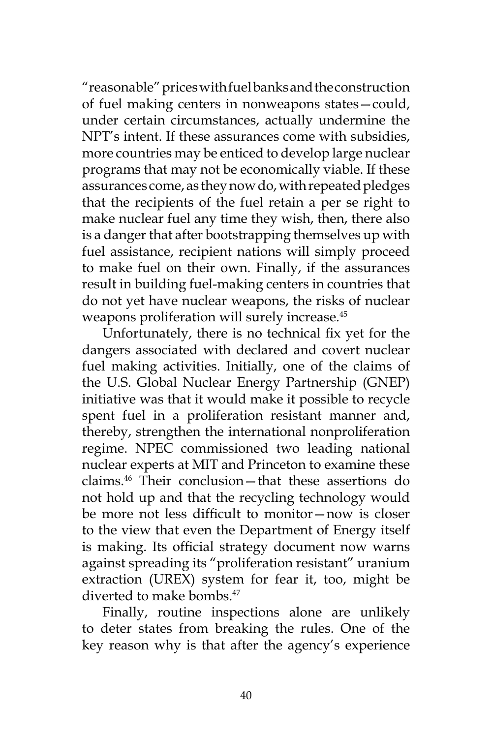"reasonable" prices with fuel banks and the construction of fuel making centers in nonweapons states—could, under certain circumstances, actually undermine the NPT's intent. If these assurances come with subsidies, more countries may be enticed to develop large nuclear programs that may not be economically viable. If these assurances come, as they now do, with repeated pledges that the recipients of the fuel retain a per se right to make nuclear fuel any time they wish, then, there also is a danger that after bootstrapping themselves up with fuel assistance, recipient nations will simply proceed to make fuel on their own. Finally, if the assurances result in building fuel-making centers in countries that do not yet have nuclear weapons, the risks of nuclear weapons proliferation will surely increase.<sup>45</sup>

Unfortunately, there is no technical fix yet for the dangers associated with declared and covert nuclear fuel making activities. Initially, one of the claims of the U.S. Global Nuclear Energy Partnership (GNEP) initiative was that it would make it possible to recycle spent fuel in a proliferation resistant manner and, thereby, strengthen the international nonproliferation regime. NPEC commissioned two leading national nuclear experts at MIT and Princeton to examine these claims.46 Their conclusion—that these assertions do not hold up and that the recycling technology would be more not less difficult to monitor—now is closer to the view that even the Department of Energy itself is making. Its official strategy document now warns against spreading its "proliferation resistant" uranium extraction (UREX) system for fear it, too, might be diverted to make bombs.<sup>47</sup>

Finally, routine inspections alone are unlikely to deter states from breaking the rules. One of the key reason why is that after the agency's experience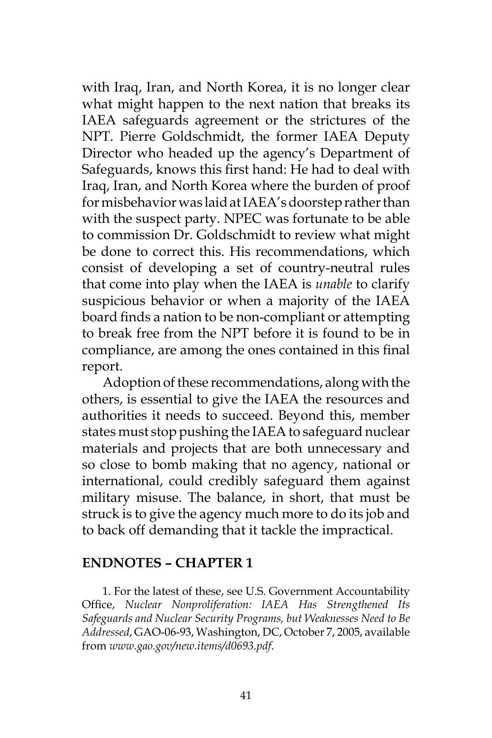with Iraq, Iran, and North Korea, it is no longer clear what might happen to the next nation that breaks its IAEA safeguards agreement or the strictures of the NPT. Pierre Goldschmidt, the former IAEA Deputy Director who headed up the agency's Department of Safeguards, knows this first hand: He had to deal with Iraq, Iran, and North Korea where the burden of proof for misbehavior was laid at IAEA's doorstep rather than with the suspect party. NPEC was fortunate to be able to commission Dr. Goldschmidt to review what might be done to correct this. His recommendations, which consist of developing a set of country-neutral rules that come into play when the IAEA is *unable* to clarify suspicious behavior or when a majority of the IAEA board finds a nation to be non-compliant or attempting to break free from the NPT before it is found to be in compliance, are among the ones contained in this final report.

Adoption of these recommendations, along with the others, is essential to give the IAEA the resources and authorities it needs to succeed. Beyond this, member states must stop pushing the IAEA to safeguard nuclear materials and projects that are both unnecessary and so close to bomb making that no agency, national or international, could credibly safeguard them against military misuse. The balance, in short, that must be struck is to give the agency much more to do its job and to back off demanding that it tackle the impractical.

#### **ENDNOTES – CHAPTER 1**

1. For the latest of these, see U.S. Government Accountability Office, *Nuclear Nonproliferation: IAEA Has Strengthened Its Safeguards and Nuclear Security Programs, but Weaknesses Need to Be Addressed*, GAO-06-93, Washington, DC, October 7, 2005, available from *www.gao.gov/new.items/d0693.pdf*.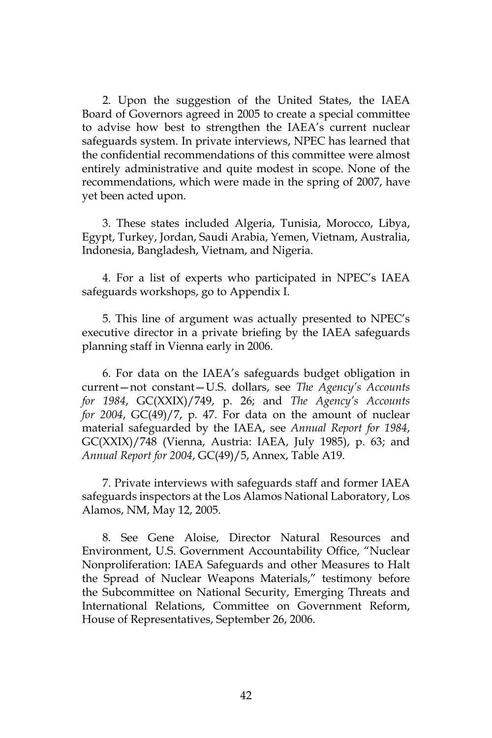2. Upon the suggestion of the United States, the IAEA Board of Governors agreed in 2005 to create a special committee to advise how best to strengthen the IAEA's current nuclear safeguards system. In private interviews, NPEC has learned that the confidential recommendations of this committee were almost entirely administrative and quite modest in scope. None of the recommendations, which were made in the spring of 2007, have yet been acted upon.

3. These states included Algeria, Tunisia, Morocco, Libya, Egypt, Turkey, Jordan, Saudi Arabia, Yemen, Vietnam, Australia, Indonesia, Bangladesh, Vietnam, and Nigeria.

4. For a list of experts who participated in NPEC's IAEA safeguards workshops, go to Appendix I.

5. This line of argument was actually presented to NPEC's executive director in a private briefing by the IAEA safeguards planning staff in Vienna early in 2006.

6. For data on the IAEA's safeguards budget obligation in current—not constant—U.S. dollars, see *The Agency's Accounts for 1984*, GC(XXIX)/749, p. 26; and *The Agency's Accounts for 2004*, GC(49)/7, p. 47. For data on the amount of nuclear material safeguarded by the IAEA, see *Annual Report for 1984*, GC(XXIX)/748 (Vienna, Austria: IAEA, July 1985), p. 63; and *Annual Report for 2004*, GC(49)/5, Annex, Table A19.

7. Private interviews with safeguards staff and former IAEA safeguards inspectors at the Los Alamos National Laboratory, Los Alamos, NM, May 12, 2005.

8. See Gene Aloise, Director Natural Resources and Environment, U.S. Government Accountability Office, "Nuclear Nonproliferation: IAEA Safeguards and other Measures to Halt the Spread of Nuclear Weapons Materials," testimony before the Subcommittee on National Security, Emerging Threats and International Relations, Committee on Government Reform, House of Representatives, September 26, 2006.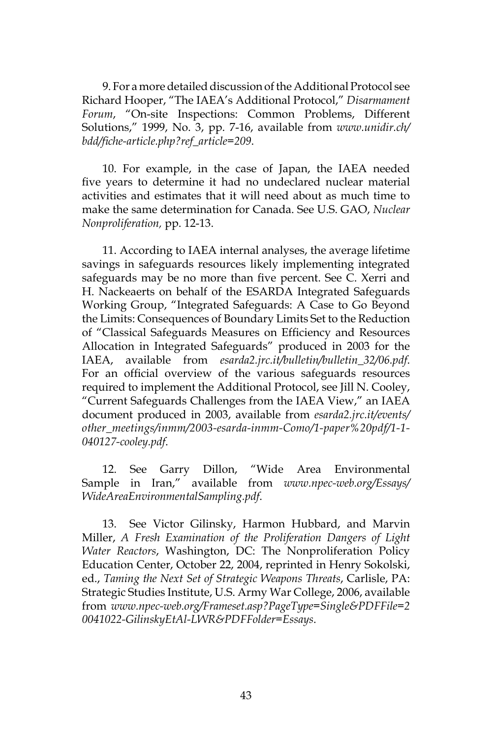9. For a more detailed discussion of the Additional Protocol see Richard Hooper, "The IAEA's Additional Protocol," *Disarmament Forum*, "On-site Inspections: Common Problems, Different Solutions," 1999, No. 3, pp. 7-16, available from *www.unidir.ch/ bdd/fiche-article.php?ref\_article=209*.

10. For example, in the case of Japan, the IAEA needed five years to determine it had no undeclared nuclear material activities and estimates that it will need about as much time to make the same determination for Canada. See U.S. GAO, *Nuclear Nonproliferation,* pp. 12-13.

11. According to IAEA internal analyses, the average lifetime savings in safeguards resources likely implementing integrated safeguards may be no more than five percent. See C. Xerri and H. Nackeaerts on behalf of the ESARDA Integrated Safeguards Working Group, "Integrated Safeguards: A Case to Go Beyond the Limits: Consequences of Boundary Limits Set to the Reduction of "Classical Safeguards Measures on Efficiency and Resources Allocation in Integrated Safeguards" produced in 2003 for the IAEA, available from *esarda2.jrc.it/bulletin/bulletin\_32/06.pdf*. For an official overview of the various safeguards resources required to implement the Additional Protocol, see Jill N. Cooley, "Current Safeguards Challenges from the IAEA View," an IAEA document produced in 2003, available from *esarda2.jrc.it/events/ other\_meetings/inmm/2003-esarda-inmm-Como/1-paper%20pdf/1-1- 040127-cooley.pdf*.

12. See Garry Dillon, "Wide Area Environmental Sample in Iran," available from *www.npec-web.org/Essays/ WideAreaEnvironmentalSampling.pdf*.

13. See Victor Gilinsky, Harmon Hubbard, and Marvin Miller, *A Fresh Examination of the Proliferation Dangers of Light Water Reactors*, Washington, DC: The Nonproliferation Policy Education Center, October 22, 2004, reprinted in Henry Sokolski, ed., *Taming the Next Set of Strategic Weapons Threats*, Carlisle, PA: Strategic Studies Institute, U.S. Army War College, 2006, available from *www.npec-web.org/Frameset.asp?PageType=Single&PDFFile=2 0041022-GilinskyEtAl-LWR&PDFFolder=Essays*.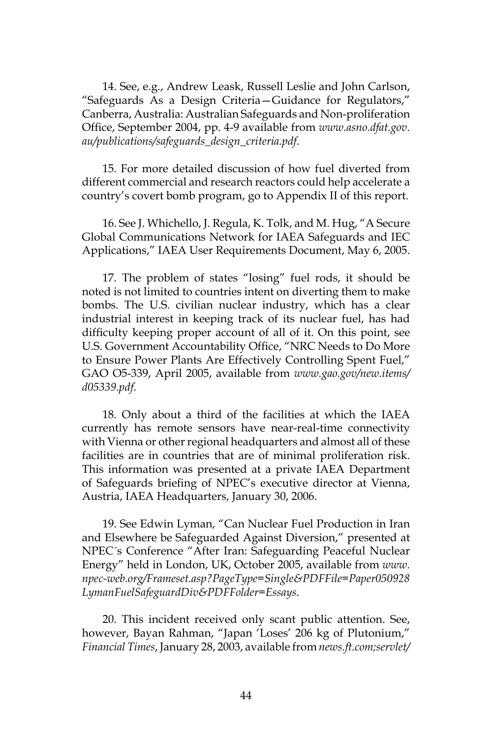14. See, e.g., Andrew Leask, Russell Leslie and John Carlson, "Safeguards As a Design Criteria—Guidance for Regulators," Canberra, Australia: Australian Safeguards and Non-proliferation Office, September 2004, pp. 4-9 available from *www.asno.dfat.gov. au/publications/safeguards\_design\_criteria.pdf*.

15. For more detailed discussion of how fuel diverted from different commercial and research reactors could help accelerate a country's covert bomb program, go to Appendix II of this report.

16. See J. Whichello, J. Regula, K. Tolk, and M. Hug, "A Secure Global Communications Network for IAEA Safeguards and IEC Applications," IAEA User Requirements Document, May 6, 2005.

17. The problem of states "losing" fuel rods, it should be noted is not limited to countries intent on diverting them to make bombs. The U.S. civilian nuclear industry, which has a clear industrial interest in keeping track of its nuclear fuel, has had difficulty keeping proper account of all of it. On this point, see U.S. Government Accountability Office, "NRC Needs to Do More to Ensure Power Plants Are Effectively Controlling Spent Fuel," GAO O5-339, April 2005, available from *www.gao.gov/new.items/ d05339.pdf*.

18. Only about a third of the facilities at which the IAEA currently has remote sensors have near-real-time connectivity with Vienna or other regional headquarters and almost all of these facilities are in countries that are of minimal proliferation risk. This information was presented at a private IAEA Department of Safeguards briefing of NPEC's executive director at Vienna, Austria, IAEA Headquarters, January 30, 2006.

19. See Edwin Lyman, "Can Nuclear Fuel Production in Iran and Elsewhere be Safeguarded Against Diversion," presented at NPEC´s Conference "After Iran: Safeguarding Peaceful Nuclear Energy" held in London, UK, October 2005, available from *www. npec-web.org/Frameset.asp?PageType=Single&PDFFile=Paper050928 LymanFuelSafeguardDiv&PDFFolder=Essays*.

20. This incident received only scant public attention. See, however, Bayan Rahman, "Japan 'Loses' 206 kg of Plutonium," *Financial Times*, January 28, 2003, available from *news.ft.com;servlet/*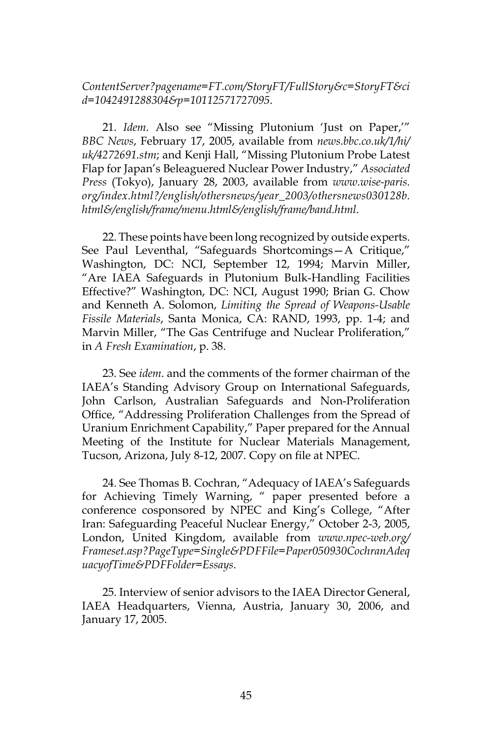*ContentServer?pagename=FT.com/StoryFT/FullStory&c=StoryFT&ci d=1042491288304&p=10112571727095*.

21. *Idem*. Also see "Missing Plutonium 'Just on Paper,'" *BBC News*, February 17, 2005, available from *news.bbc.co.uk/1/hi/ uk/4272691.stm*; and Kenji Hall, "Missing Plutonium Probe Latest Flap for Japan's Beleaguered Nuclear Power Industry," *Associated Press* (Tokyo), January 28, 2003, available from *www.wise-paris. org/index.html?/english/othersnews/year\_2003/othersnews030128b. html&/english/frame/menu.html&/english/frame/band.html*.

22. These points have been long recognized by outside experts. See Paul Leventhal, "Safeguards Shortcomings—A Critique," Washington, DC: NCI, September 12, 1994; Marvin Miller, "Are IAEA Safeguards in Plutonium Bulk-Handling Facilities Effective?" Washington, DC: NCI, August 1990; Brian G. Chow and Kenneth A. Solomon, *Limiting the Spread of Weapons-Usable Fissile Materials*, Santa Monica, CA: RAND, 1993, pp. 1-4; and Marvin Miller, "The Gas Centrifuge and Nuclear Proliferation," in *A Fresh Examination*, p. 38.

23. See *idem*. and the comments of the former chairman of the IAEA's Standing Advisory Group on International Safeguards, John Carlson, Australian Safeguards and Non-Proliferation Office, "Addressing Proliferation Challenges from the Spread of Uranium Enrichment Capability," Paper prepared for the Annual Meeting of the Institute for Nuclear Materials Management, Tucson, Arizona, July 8-12, 2007. Copy on file at NPEC.

24. See Thomas B. Cochran, "Adequacy of IAEA's Safeguards for Achieving Timely Warning, " paper presented before a conference cosponsored by NPEC and King's College, "After Iran: Safeguarding Peaceful Nuclear Energy," October 2-3, 2005, London, United Kingdom, available from *www.npec-web.org/ Frameset.asp?PageType=Single&PDFFile=Paper050930CochranAdeq uacyofTime&PDFFolder=Essays*.

25. Interview of senior advisors to the IAEA Director General, IAEA Headquarters, Vienna, Austria, January 30, 2006, and January 17, 2005.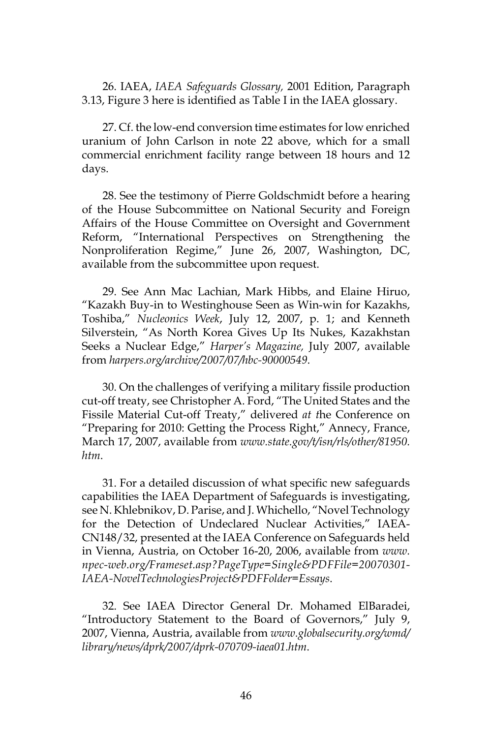26. IAEA, *IAEA Safeguards Glossary,* 2001 Edition, Paragraph 3.13, Figure 3 here is identified as Table I in the IAEA glossary.

27. Cf. the low-end conversion time estimates for low enriched uranium of John Carlson in note 22 above, which for a small commercial enrichment facility range between 18 hours and 12 days.

28. See the testimony of Pierre Goldschmidt before a hearing of the House Subcommittee on National Security and Foreign Affairs of the House Committee on Oversight and Government Reform, "International Perspectives on Strengthening the Nonproliferation Regime," June 26, 2007, Washington, DC, available from the subcommittee upon request.

29. See Ann Mac Lachian, Mark Hibbs, and Elaine Hiruo, "Kazakh Buy-in to Westinghouse Seen as Win-win for Kazakhs, Toshiba," *Nucleonics Week*, July 12, 2007, p. 1; and Kenneth Silverstein, "As North Korea Gives Up Its Nukes, Kazakhstan Seeks a Nuclear Edge," *Harper's Magazine,* July 2007, available from *harpers.org/archive/2007/07/hbc-90000549*.

30. On the challenges of verifying a military fissile production cut-off treaty, see Christopher A. Ford, "The United States and the Fissile Material Cut-off Treaty," delivered *at t*he Conference on "Preparing for 2010: Getting the Process Right," Annecy, France, March 17, 2007, available from *www.state.gov/t/isn/rls/other/81950. htm*.

31. For a detailed discussion of what specific new safeguards capabilities the IAEA Department of Safeguards is investigating, see N. Khlebnikov, D. Parise, and J. Whichello, "Novel Technology for the Detection of Undeclared Nuclear Activities," IAEA-CN148/32, presented at the IAEA Conference on Safeguards held in Vienna, Austria, on October 16-20, 2006, available from *www. npec-web.org/Frameset.asp?PageType=Single&PDFFile=20070301- IAEA-NovelTechnologiesProject&PDFFolder=Essays*.

32. See IAEA Director General Dr. Mohamed ElBaradei, "Introductory Statement to the Board of Governors," July 9, 2007, Vienna, Austria, available from *www.globalsecurity.org/wmd/ library/news/dprk/2007/dprk-070709-iaea01.htm*.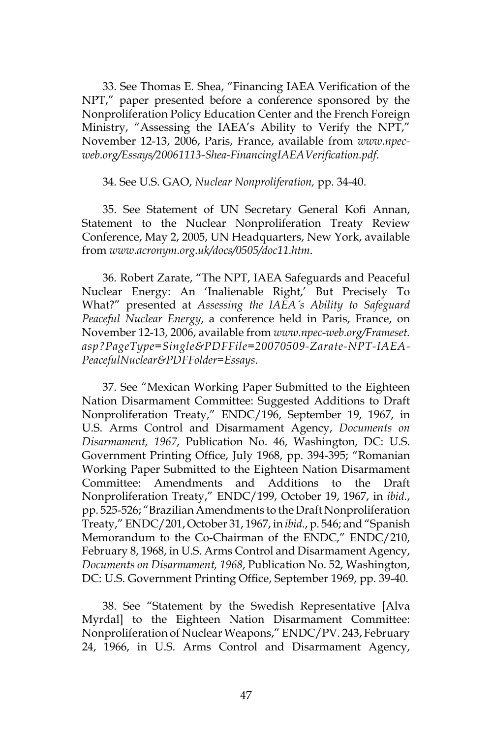33. See Thomas E. Shea, "Financing IAEA Verification of the NPT," paper presented before a conference sponsored by the Nonproliferation Policy Education Center and the French Foreign Ministry, "Assessing the IAEA's Ability to Verify the NPT," November 12-13, 2006, Paris, France, available from *www.npecweb.org/Essays/20061113-Shea-FinancingIAEAVerification.pdf*.

#### 34. See U.S. GAO, *Nuclear Nonproliferation,* pp. 34-40.

35. See Statement of UN Secretary General Kofi Annan, Statement to the Nuclear Nonproliferation Treaty Review Conference, May 2, 2005, UN Headquarters, New York, available from *www.acronym.org.uk/docs/0505/doc11.htm*.

36. Robert Zarate, "The NPT, IAEA Safeguards and Peaceful Nuclear Energy: An 'Inalienable Right,' But Precisely To What?" presented at *Assessing the IAEA´s Ability to Safeguard Peaceful Nuclear Energy*, a conference held in Paris, France, on November 12-13, 2006, available from *www.npec-web.org/Frameset. asp?PageType=Single&PDFFile=20070509-Zarate-NPT-IAEA-PeacefulNuclear&PDFFolder=Essays*.

37. See "Mexican Working Paper Submitted to the Eighteen Nation Disarmament Committee: Suggested Additions to Draft Nonproliferation Treaty," ENDC/196, September 19, 1967, in U.S. Arms Control and Disarmament Agency, *Documents on Disarmament, 1967*, Publication No. 46, Washington, DC: U.S. Government Printing Office, July 1968, pp. 394-395; "Romanian Working Paper Submitted to the Eighteen Nation Disarmament Committee: Amendments and Additions to the Draft Nonproliferation Treaty," ENDC/199, October 19, 1967, in *ibid.*, pp. 525-526; "Brazilian Amendments to the Draft Nonproliferation Treaty," ENDC/201, October 31, 1967, in *ibid.*, p. 546; and "Spanish Memorandum to the Co-Chairman of the ENDC," ENDC/210, February 8, 1968, in U.S. Arms Control and Disarmament Agency, *Documents on Disarmament, 1968*, Publication No. 52, Washington, DC: U.S. Government Printing Office, September 1969, pp. 39-40.

38. See "Statement by the Swedish Representative [Alva Myrdal] to the Eighteen Nation Disarmament Committee: Nonproliferation of Nuclear Weapons," ENDC/PV. 243, February 24, 1966, in U.S. Arms Control and Disarmament Agency,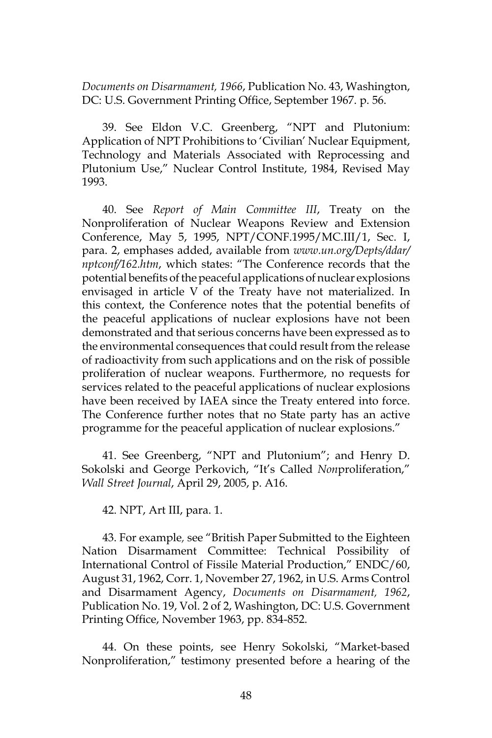*Documents on Disarmament, 1966*, Publication No. 43, Washington, DC: U.S. Government Printing Office, September 1967. p. 56.

39. See Eldon V.C. Greenberg, "NPT and Plutonium: Application of NPT Prohibitions to 'Civilian' Nuclear Equipment, Technology and Materials Associated with Reprocessing and Plutonium Use," Nuclear Control Institute, 1984, Revised May 1993.

40. See *Report of Main Committee III*, Treaty on the Nonproliferation of Nuclear Weapons Review and Extension Conference, May 5, 1995, NPT/CONF.1995/MC.III/1, Sec. I, para. 2, emphases added, available from *www.un.org/Depts/ddar/ nptconf/162.htm*, which states: "The Conference records that the potential benefits of the peaceful applications of nuclear explosions envisaged in article V of the Treaty have not materialized. In this context, the Conference notes that the potential benefits of the peaceful applications of nuclear explosions have not been demonstrated and that serious concerns have been expressed as to the environmental consequences that could result from the release of radioactivity from such applications and on the risk of possible proliferation of nuclear weapons. Furthermore, no requests for services related to the peaceful applications of nuclear explosions have been received by IAEA since the Treaty entered into force. The Conference further notes that no State party has an active programme for the peaceful application of nuclear explosions."

41. See Greenberg, "NPT and Plutonium"; and Henry D. Sokolski and George Perkovich, "It's Called *Non*proliferation," *Wall Street Journal*, April 29, 2005, p. A16.

42. NPT, Art III, para. 1.

43. For example*,* see "British Paper Submitted to the Eighteen Nation Disarmament Committee: Technical Possibility of International Control of Fissile Material Production," ENDC/60, August 31, 1962, Corr. 1, November 27, 1962, in U.S. Arms Control and Disarmament Agency, *Documents on Disarmament, 1962*, Publication No. 19, Vol. 2 of 2, Washington, DC: U.S. Government Printing Office, November 1963, pp. 834-852.

44. On these points, see Henry Sokolski, "Market-based Nonproliferation," testimony presented before a hearing of the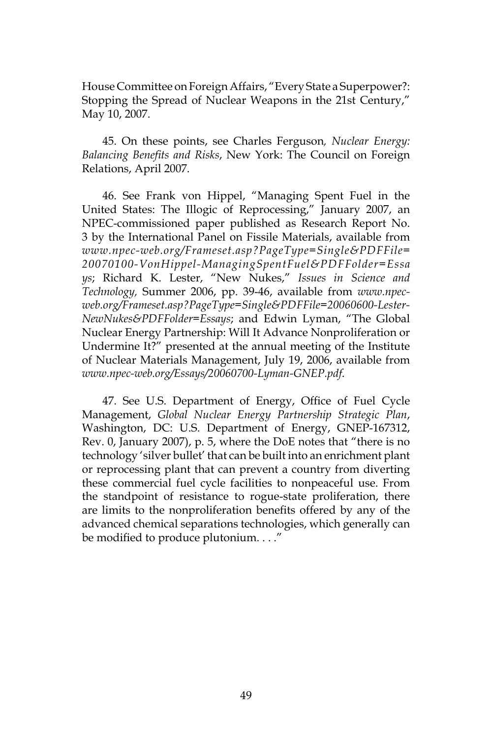House Committee on Foreign Affairs, "Every State a Superpower?: Stopping the Spread of Nuclear Weapons in the 21st Century," May 10, 2007.

45. On these points, see Charles Ferguson*, Nuclear Energy: Balancing Benefits and Risks*, New York: The Council on Foreign Relations, April 2007.

46. See Frank von Hippel, "Managing Spent Fuel in the United States: The Illogic of Reprocessing," January 2007, an NPEC-commissioned paper published as Research Report No. 3 by the International Panel on Fissile Materials, available from *www.npec-web.org/Frameset.asp?PageType=Single&PDFFile= 20070100-VonHippel-ManagingSpentFuel&PDFFolder=Essa ys*; Richard K. Lester, "New Nukes," *Issues in Science and Technology,* Summer 2006, pp. 39-46, available from *www.npecweb.org/Frameset.asp?PageType=Single&PDFFile=20060600-Lester-NewNukes&PDFFolder=Essays*; and Edwin Lyman, "The Global Nuclear Energy Partnership: Will It Advance Nonproliferation or Undermine It?" presented at the annual meeting of the Institute of Nuclear Materials Management, July 19, 2006, available from *www.npec-web.org/Essays/20060700-Lyman-GNEP.pdf*.

47. See U.S. Department of Energy, Office of Fuel Cycle Management, *Global Nuclear Energy Partnership Strategic Plan*, Washington, DC: U.S. Department of Energy, GNEP-167312, Rev. 0, January 2007), p. 5, where the DoE notes that "there is no technology 'silver bullet' that can be built into an enrichment plant or reprocessing plant that can prevent a country from diverting these commercial fuel cycle facilities to nonpeaceful use. From the standpoint of resistance to rogue-state proliferation, there are limits to the nonproliferation benefits offered by any of the advanced chemical separations technologies, which generally can be modified to produce plutonium...."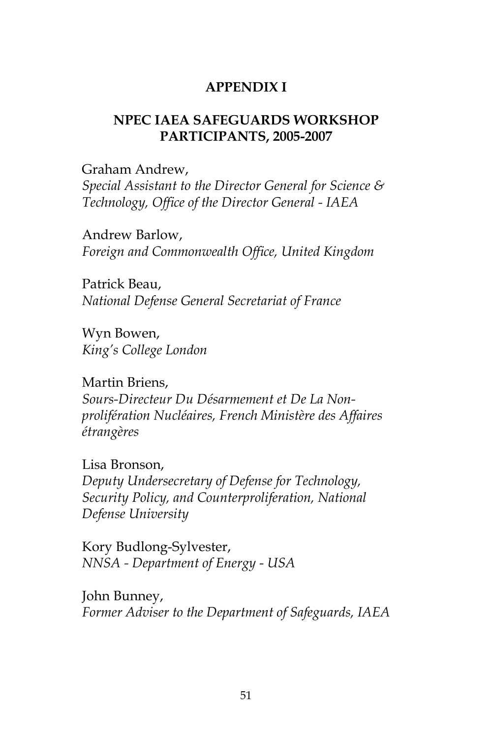# **APPENDIX I**

# **NPEC IAEA SAFEGUARDS WORKSHOP PARTICIPANTS, 2005-2007**

Graham Andrew, *Special Assistant to the Director General for Science & Technology, Office of the Director General - IAEA*

Andrew Barlow, *Foreign and Commonwealth Office, United Kingdom*

Patrick Beau, *National Defense General Secretariat of France*

Wyn Bowen, *King's College London*

Martin Briens, *Sours-Directeur Du Désarmement et De La Nonprolifération Nucléaires, French Ministère des Affaires étrangères*

Lisa Bronson, *Deputy Undersecretary of Defense for Technology, Security Policy, and Counterproliferation, National Defense University*

Kory Budlong-Sylvester, *NNSA - Department of Energy - USA*

John Bunney, *Former Adviser to the Department of Safeguards, IAEA*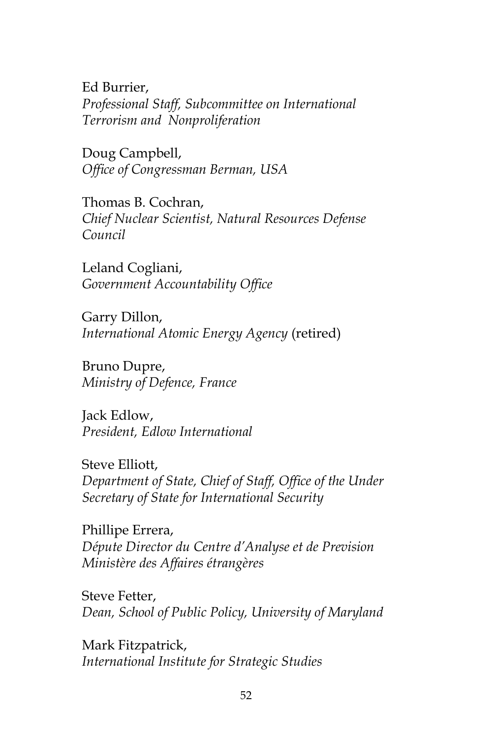Ed Burrier, *Professional Staff, Subcommittee on International Terrorism and Nonproliferation*

Doug Campbell, *Office of Congressman Berman, USA*

Thomas B. Cochran, *Chief Nuclear Scientist, Natural Resources Defense Council*

Leland Cogliani, *Government Accountability Office*

Garry Dillon, *International Atomic Energy Agency* (retired)

Bruno Dupre, *Ministry of Defence, France*

Jack Edlow, *President, Edlow International*

Steve Elliott, *Department of State, Chief of Staff, Office of the Under Secretary of State for International Security*

Phillipe Errera, *Députe Director du Centre d'Analyse et de Prevision Ministère des Affaires étrangères*

Steve Fetter, *Dean, School of Public Policy, University of Maryland*

Mark Fitzpatrick, *International Institute for Strategic Studies*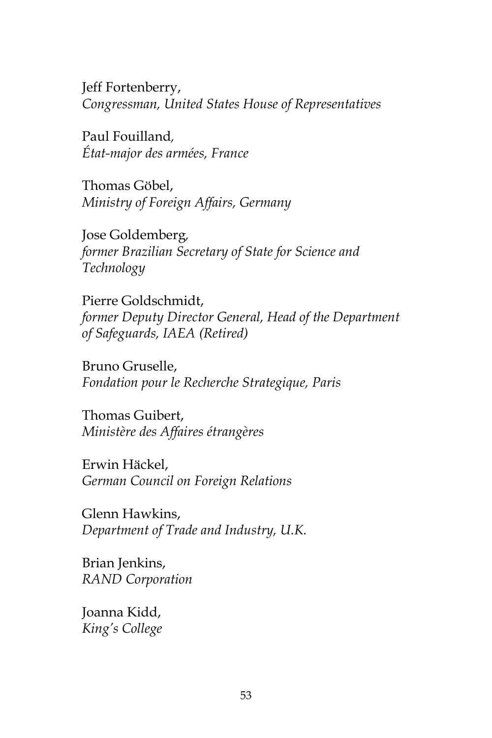Jeff Fortenberry, *Congressman, United States House of Representatives*

Paul Fouilland*, État-major des armées, France*

Thomas Göbel, *Ministry of Foreign Affairs, Germany*

Jose Goldemberg*, former Brazilian Secretary of State for Science and Technology*

Pierre Goldschmidt, *former Deputy Director General, Head of the Department of Safeguards, IAEA (Retired)*

Bruno Gruselle, *Fondation pour le Recherche Strategique, Paris*

Thomas Guibert, *Ministère des Affaires étrangères*

Erwin Häckel, *German Council on Foreign Relations*

Glenn Hawkins, *Department of Trade and Industry, U.K.*

Brian Jenkins, *RAND Corporation*

Joanna Kidd, *King's College*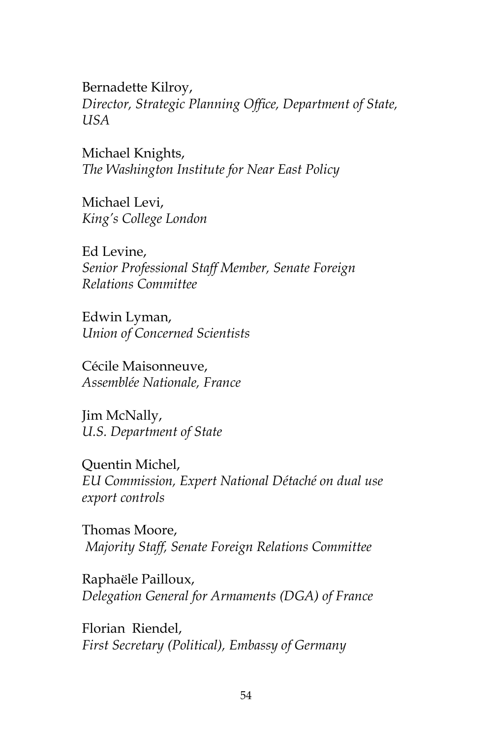Bernadette Kilroy, *Director, Strategic Planning Office, Department of State, USA*

Michael Knights, *The Washington Institute for Near East Policy*

Michael Levi, *King's College London*

Ed Levine, *Senior Professional Staff Member, Senate Foreign Relations Committee*

Edwin Lyman, *Union of Concerned Scientists*

Cécile Maisonneuve, *Assemblée Nationale, France*

Jim McNally, *U.S. Department of State*

Quentin Michel, *EU Commission, Expert National Détaché on dual use export controls*

Thomas Moore, *Majority Staff, Senate Foreign Relations Committee*

Raphaële Pailloux, *Delegation General for Armaments (DGA) of France*

Florian Riendel, *First Secretary (Political), Embassy of Germany*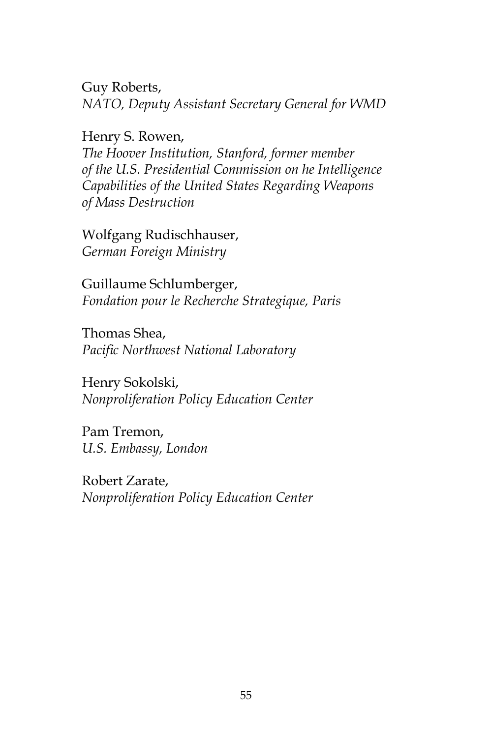Guy Roberts, *NATO, Deputy Assistant Secretary General for WMD* 

Henry S. Rowen,

*The Hoover Institution, Stanford, former member of the U.S. Presidential Commission on he Intelligence Capabilities of the United States Regarding Weapons of Mass Destruction*

Wolfgang Rudischhauser, *German Foreign Ministry*

Guillaume Schlumberger, *Fondation pour le Recherche Strategique, Paris*

Thomas Shea, *Pacific Northwest National Laboratory*

Henry Sokolski, *Nonproliferation Policy Education Center*

Pam Tremon, *U.S. Embassy, London*

Robert Zarate, *Nonproliferation Policy Education Center*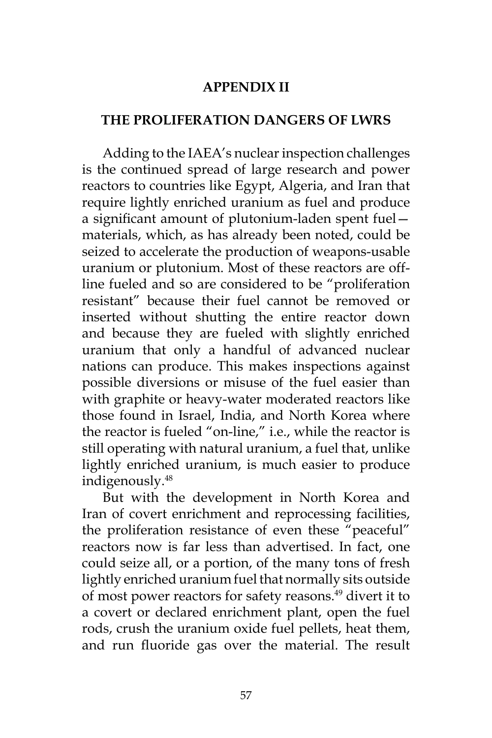#### **APPENDIX II**

#### **THE PROLIFERATION DANGERS OF LWRS**

Adding to the IAEA's nuclear inspection challenges is the continued spread of large research and power reactors to countries like Egypt, Algeria, and Iran that require lightly enriched uranium as fuel and produce a significant amount of plutonium-laden spent fuel materials, which, as has already been noted, could be seized to accelerate the production of weapons-usable uranium or plutonium. Most of these reactors are offline fueled and so are considered to be "proliferation resistant" because their fuel cannot be removed or inserted without shutting the entire reactor down and because they are fueled with slightly enriched uranium that only a handful of advanced nuclear nations can produce. This makes inspections against possible diversions or misuse of the fuel easier than with graphite or heavy-water moderated reactors like those found in Israel, India, and North Korea where the reactor is fueled "on-line," i.e., while the reactor is still operating with natural uranium, a fuel that, unlike lightly enriched uranium, is much easier to produce indigenously.48

But with the development in North Korea and Iran of covert enrichment and reprocessing facilities, the proliferation resistance of even these "peaceful" reactors now is far less than advertised. In fact, one could seize all, or a portion, of the many tons of fresh lightly enriched uranium fuel that normally sits outside of most power reactors for safety reasons.<sup>49</sup> divert it to a covert or declared enrichment plant, open the fuel rods, crush the uranium oxide fuel pellets, heat them, and run fluoride gas over the material. The result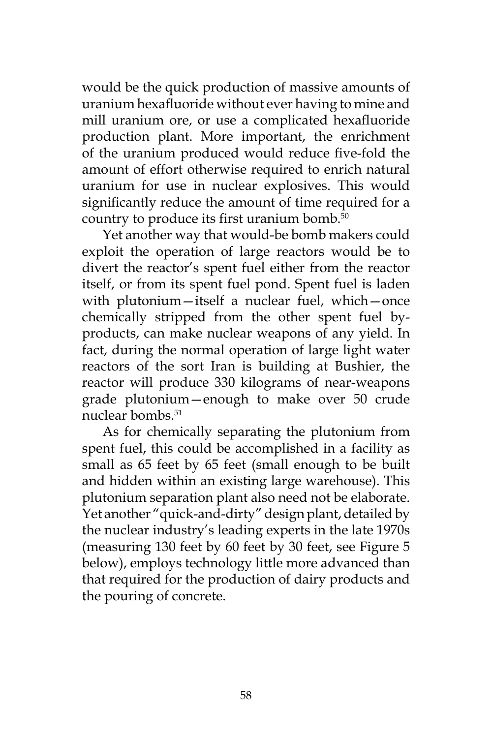would be the quick production of massive amounts of uranium hexafluoride without ever having to mine and mill uranium ore, or use a complicated hexafluoride production plant. More important, the enrichment of the uranium produced would reduce five-fold the amount of effort otherwise required to enrich natural uranium for use in nuclear explosives. This would significantly reduce the amount of time required for a country to produce its first uranium bomb.<sup>50</sup>

Yet another way that would-be bomb makers could exploit the operation of large reactors would be to divert the reactor's spent fuel either from the reactor itself, or from its spent fuel pond. Spent fuel is laden with plutonium—itself a nuclear fuel, which—once chemically stripped from the other spent fuel byproducts, can make nuclear weapons of any yield. In fact, during the normal operation of large light water reactors of the sort Iran is building at Bushier, the reactor will produce 330 kilograms of near-weapons grade plutonium—enough to make over 50 crude nuclear bombs.<sup>51</sup>

As for chemically separating the plutonium from spent fuel, this could be accomplished in a facility as small as 65 feet by 65 feet (small enough to be built and hidden within an existing large warehouse). This plutonium separation plant also need not be elaborate. Yet another "quick-and-dirty" design plant, detailed by the nuclear industry's leading experts in the late 1970s (measuring 130 feet by 60 feet by 30 feet, see Figure 5 below), employs technology little more advanced than that required for the production of dairy products and the pouring of concrete.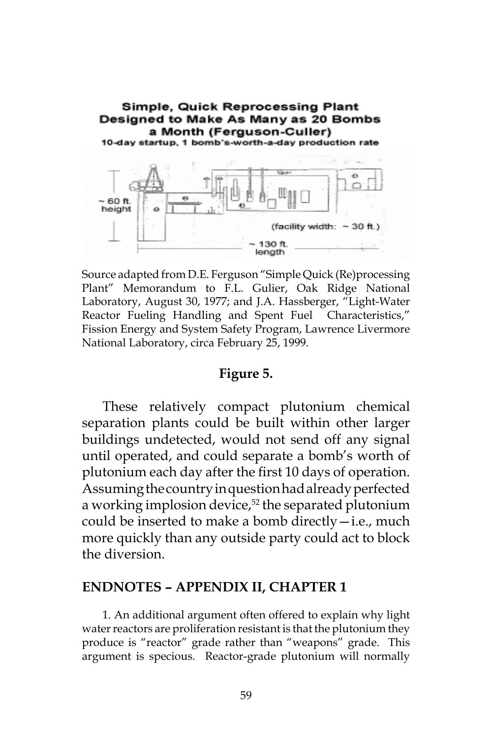

Source adapted from D.E. Ferguson "Simple Quick (Re)processing Plant" Memorandum to F.L. Gulier, Oak Ridge National Laboratory, August 30, 1977; and J.A. Hassberger, "Light-Water Reactor Fueling Handling and Spent Fuel Characteristics," Fission Energy and System Safety Program, Lawrence Livermore National Laboratory, circa February 25, 1999.

#### **Figure 5.**

These relatively compact plutonium chemical separation plants could be built within other larger buildings undetected, would not send off any signal until operated, and could separate a bomb's worth of plutonium each day after the first 10 days of operation. Assuming the country in question had already perfected a working implosion device,<sup>52</sup> the separated plutonium could be inserted to make a bomb directly $-i.e.,$  much more quickly than any outside party could act to block the diversion.

#### **ENDNOTES – APPENDIX II, CHAPTER 1**

1. An additional argument often offered to explain why light water reactors are proliferation resistant is that the plutonium they produce is "reactor" grade rather than "weapons" grade. This argument is specious. Reactor-grade plutonium will normally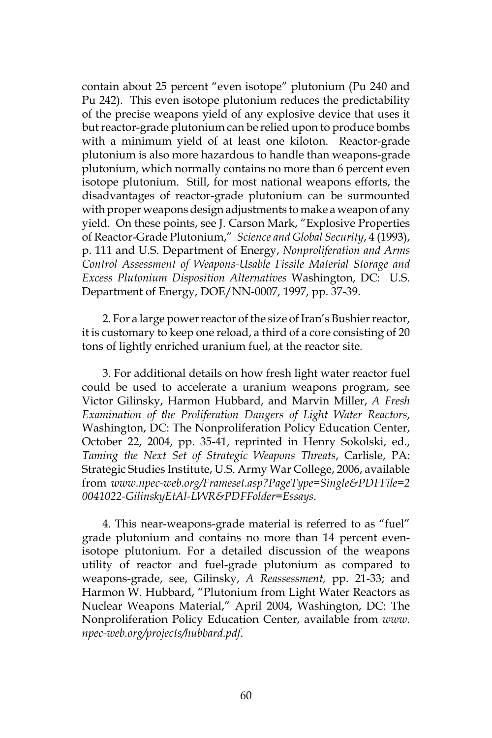contain about 25 percent "even isotope" plutonium (Pu 240 and Pu 242). This even isotope plutonium reduces the predictability of the precise weapons yield of any explosive device that uses it but reactor-grade plutonium can be relied upon to produce bombs with a minimum yield of at least one kiloton. Reactor-grade plutonium is also more hazardous to handle than weapons-grade plutonium, which normally contains no more than 6 percent even isotope plutonium. Still, for most national weapons efforts, the disadvantages of reactor-grade plutonium can be surmounted with proper weapons design adjustments to make a weapon of any yield. On these points, see J. Carson Mark, "Explosive Properties of Reactor-Grade Plutonium," *Science and Global Security*, 4 (1993), p. 111 and U.S. Department of Energy, *Nonproliferation and Arms Control Assessment of Weapons-Usable Fissile Material Storage and Excess Plutonium Disposition Alternatives* Washington, DC: U.S. Department of Energy, DOE/NN-0007, 1997, pp. 37-39.

2. For a large power reactor of the size of Iran's Bushier reactor, it is customary to keep one reload, a third of a core consisting of 20 tons of lightly enriched uranium fuel, at the reactor site*.*

3. For additional details on how fresh light water reactor fuel could be used to accelerate a uranium weapons program, see Victor Gilinsky, Harmon Hubbard, and Marvin Miller, *A Fresh Examination of the Proliferation Dangers of Light Water Reactors*, Washington, DC: The Nonproliferation Policy Education Center, October 22, 2004, pp. 35-41, reprinted in Henry Sokolski, ed., *Taming the Next Set of Strategic Weapons Threats*, Carlisle, PA: Strategic Studies Institute, U.S. Army War College, 2006, available from *www.npec-web.org/Frameset.asp?PageType=Single&PDFFile=2 0041022-GilinskyEtAl-LWR&PDFFolder=Essays*.

4. This near-weapons-grade material is referred to as "fuel" grade plutonium and contains no more than 14 percent evenisotope plutonium. For a detailed discussion of the weapons utility of reactor and fuel-grade plutonium as compared to weapons-grade, see, Gilinsky, *A Reassessment,* pp. 21-33; and Harmon W. Hubbard, "Plutonium from Light Water Reactors as Nuclear Weapons Material," April 2004, Washington, DC: The Nonproliferation Policy Education Center, available from *www. npec-web.org/projects/hubbard.pdf*.